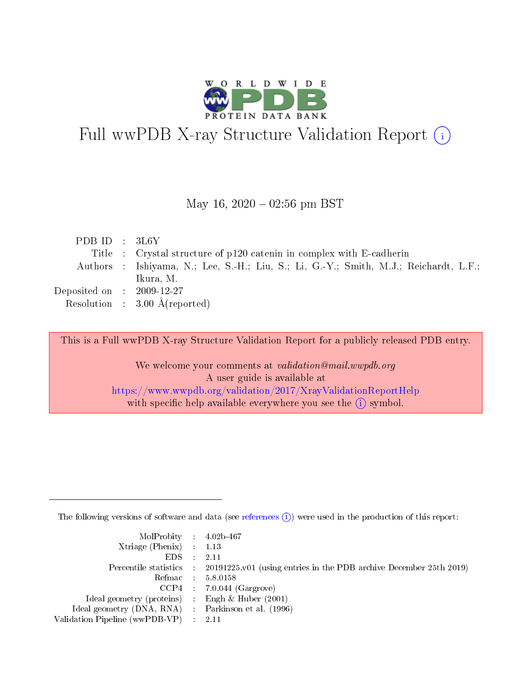

# Full wwPDB X-ray Structure Validation Report (i)

#### May 16,  $2020 - 02:56$  pm BST

| PDB ID : $3L6Y$             |                                                                                       |
|-----------------------------|---------------------------------------------------------------------------------------|
|                             | Title : Crystal structure of p120 catenin in complex with E-cadherin                  |
|                             | Authors : Ishiyama, N.; Lee, S.-H.; Liu, S.; Li, G.-Y.; Smith, M.J.; Reichardt, L.F.; |
|                             | Ikura, M.                                                                             |
| Deposited on : $2009-12-27$ |                                                                                       |
|                             | Resolution : $3.00 \text{ Å}$ (reported)                                              |

This is a Full wwPDB X-ray Structure Validation Report for a publicly released PDB entry.

We welcome your comments at validation@mail.wwpdb.org A user guide is available at <https://www.wwpdb.org/validation/2017/XrayValidationReportHelp> with specific help available everywhere you see the  $(i)$  symbol.

The following versions of software and data (see [references](https://www.wwpdb.org/validation/2017/XrayValidationReportHelp#references)  $(i)$ ) were used in the production of this report:

| MolProbity : 4.02b-467                              |                                                                                            |
|-----------------------------------------------------|--------------------------------------------------------------------------------------------|
| $Xtriangle (Phenix)$ : 1.13                         |                                                                                            |
| $EDS = 2.11$                                        |                                                                                            |
|                                                     | Percentile statistics : 20191225.v01 (using entries in the PDB archive December 25th 2019) |
|                                                     | Refmac : 5.8.0158                                                                          |
|                                                     | $CCP4$ : 7.0.044 (Gargrove)                                                                |
| Ideal geometry (proteins) : Engh $\&$ Huber (2001)  |                                                                                            |
| Ideal geometry (DNA, RNA) : Parkinson et al. (1996) |                                                                                            |
| Validation Pipeline (wwPDB-VP) : 2.11               |                                                                                            |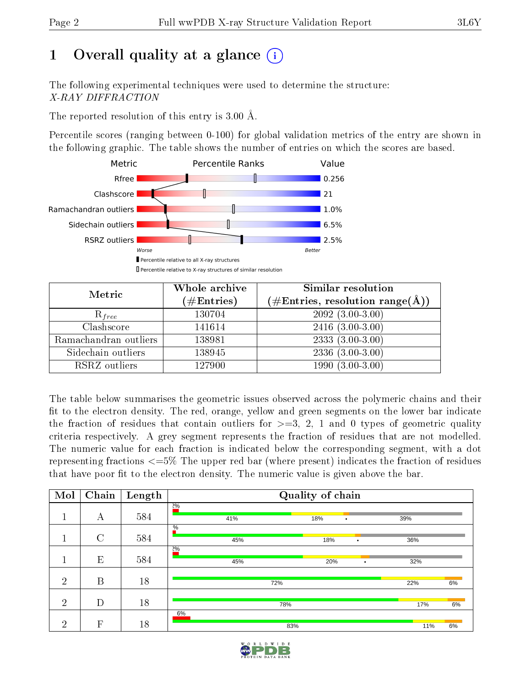## 1 [O](https://www.wwpdb.org/validation/2017/XrayValidationReportHelp#overall_quality)verall quality at a glance  $(i)$

The following experimental techniques were used to determine the structure: X-RAY DIFFRACTION

The reported resolution of this entry is 3.00 Å.

Percentile scores (ranging between 0-100) for global validation metrics of the entry are shown in the following graphic. The table shows the number of entries on which the scores are based.



| Metric                | Whole archive<br>$(\#\text{Entries})$ | Similar resolution<br>$(\#\text{Entries},\,\text{resolution}\,\,\text{range}(\textup{\AA}))$ |
|-----------------------|---------------------------------------|----------------------------------------------------------------------------------------------|
| $R_{free}$            | 130704                                | $2092(3.00-3.00)$                                                                            |
| Clashscore            | 141614                                | $2416(3.00-3.00)$                                                                            |
| Ramachandran outliers | 138981                                | $2333(3.00-3.00)$                                                                            |
| Sidechain outliers    | 138945                                | $2336(3.00-3.00)$                                                                            |
| RSRZ outliers         | 127900                                | $1990(3.00-3.00)$                                                                            |

The table below summarises the geometric issues observed across the polymeric chains and their fit to the electron density. The red, orange, yellow and green segments on the lower bar indicate the fraction of residues that contain outliers for  $>=3, 2, 1$  and 0 types of geometric quality criteria respectively. A grey segment represents the fraction of residues that are not modelled. The numeric value for each fraction is indicated below the corresponding segment, with a dot representing fractions  $\epsilon=5\%$  The upper red bar (where present) indicates the fraction of residues that have poor fit to the electron density. The numeric value is given above the bar.

| Mol            | Chain        | Length | Quality of chain     |                  |           |  |  |  |  |
|----------------|--------------|--------|----------------------|------------------|-----------|--|--|--|--|
|                | А            | 584    | 20/0<br>41%          | 18%<br>$\bullet$ | 39%       |  |  |  |  |
| $\mathbf 1$    | $\rm C$      | 584    | $\frac{0}{6}$<br>45% | 18%<br>$\bullet$ | 36%       |  |  |  |  |
|                | E            | 584    | $2\%$<br>45%         | 20%<br>$\bullet$ | 32%       |  |  |  |  |
| $\overline{2}$ | B            | 18     | 72%                  |                  | 6%<br>22% |  |  |  |  |
| $\overline{2}$ | D            | 18     | 78%                  |                  | 6%<br>17% |  |  |  |  |
| റ              | $\mathbf{F}$ | 18     | 6%<br>83%            |                  | 6%<br>11% |  |  |  |  |

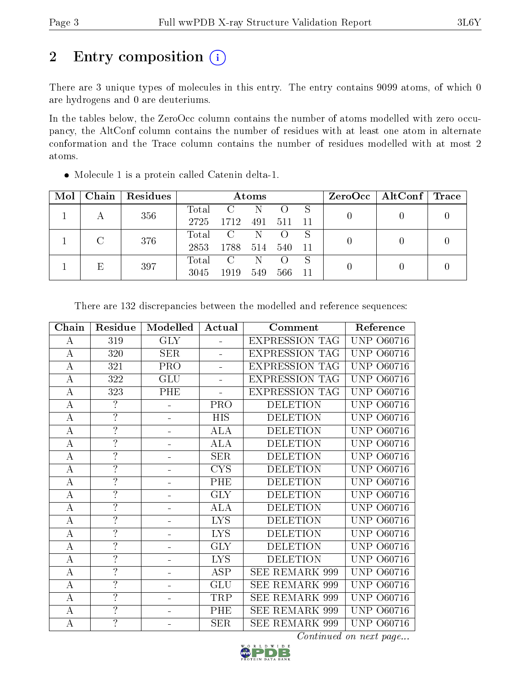# 2 Entry composition (i)

There are 3 unique types of molecules in this entry. The entry contains 9099 atoms, of which 0 are hydrogens and 0 are deuteriums.

In the tables below, the ZeroOcc column contains the number of atoms modelled with zero occupancy, the AltConf column contains the number of residues with at least one atom in alternate conformation and the Trace column contains the number of residues modelled with at most 2 atoms.

| Mol | Chain | Residues | Atoms         |                         |          |                  |    | $ZeroOcc \mid AltConf \mid Trace$ |  |  |
|-----|-------|----------|---------------|-------------------------|----------|------------------|----|-----------------------------------|--|--|
|     |       | 356      | Total         | $\mathcal{C}$           | N        |                  | S  | 0                                 |  |  |
|     | А     |          | 2725          | 1712                    | 491      | 511              | 11 |                                   |  |  |
|     |       |          | Total         | $\overline{\mathbf{C}}$ | N        | $\left( \right)$ | S  | $\Omega$                          |  |  |
|     | 376   | 2853     | 1788          | 514                     | 540      | 11               |    |                                   |  |  |
|     |       | Total    | $\mathcal{C}$ | N                       | $\left($ | S                | 0  |                                   |  |  |
|     |       | 397      | 3045          | 1919                    | 549      | 566              | 11 |                                   |  |  |

Molecule 1 is a protein called Catenin delta-1.

| Chain            | Residue                  | Modelled                 | Actual<br>Comment    |                       | Reference            |
|------------------|--------------------------|--------------------------|----------------------|-----------------------|----------------------|
| А                | 319                      | <b>GLY</b>               | $\equiv$             | <b>EXPRESSION TAG</b> | UNP<br>O60716        |
| $\bf{A}$         | 320                      | <b>SER</b>               | L.                   | <b>EXPRESSION TAG</b> | <b>UNP 060716</b>    |
| $\boldsymbol{A}$ | 321                      | PRO                      | ÷,                   | <b>EXPRESSION TAG</b> | <b>UNP</b><br>O60716 |
| A                | 322                      | <b>GLU</b>               |                      | <b>EXPRESSION TAG</b> | <b>UNP</b><br>O60716 |
| $\boldsymbol{A}$ | 323                      | PHE                      |                      | <b>EXPRESSION TAG</b> | <b>UNP</b><br>O60716 |
| $\bf{A}$         | $\overline{?}$           |                          | PRO                  | <b>DELETION</b>       | <b>UNP</b><br>O60716 |
| $\bf{A}$         | $\overline{?}$           |                          | <b>HIS</b>           | <b>DELETION</b>       | <b>UNP</b><br>O60716 |
| $\overline{A}$   | $\overline{?}$           | $\overline{\phantom{0}}$ | $\overline{\rm ALA}$ | <b>DELETION</b>       | O60716<br><b>UNP</b> |
| $\bf{A}$         | $\overline{?}$           |                          | <b>ALA</b>           | <b>DELETION</b>       | <b>UNP</b><br>O60716 |
| А                | $\overline{?}$           |                          | <b>SER</b>           | <b>DELETION</b>       | <b>UNP</b><br>O60716 |
| $\boldsymbol{A}$ | $\overline{?}$           |                          | <b>CYS</b>           | <b>DELETION</b>       | <b>UNP</b><br>O60716 |
| А                | $\ddot{.}$               |                          | PHE                  | <b>DELETION</b>       | <b>UNP</b><br>O60716 |
| $\boldsymbol{A}$ | $\overline{?}$           |                          | <b>GLY</b>           | <b>DELETION</b>       | <b>UNP 060716</b>    |
| $\boldsymbol{A}$ | $\overline{\mathcal{L}}$ |                          | ALA                  | <b>DELETION</b>       | UNP<br>O60716        |
| $\boldsymbol{A}$ | $\overline{?}$           |                          | <b>LYS</b>           | <b>DELETION</b>       | UNP<br>O60716        |
| $\boldsymbol{A}$ | $\overline{\cdot}$       |                          | <b>LYS</b>           | <b>DELETION</b>       | <b>UNP</b><br>O60716 |
| $\bf{A}$         | $\overline{?}$           |                          | <b>GLY</b>           | <b>DELETION</b>       | <b>UNP</b><br>O60716 |
| $\overline{A}$   | $\overline{?}$           |                          | <b>LYS</b>           | <b>DELETION</b>       | <b>UNP</b><br>O60716 |
| $\boldsymbol{A}$ | $\overline{\mathcal{E}}$ |                          | <b>ASP</b>           | SEE REMARK 999        | <b>UNP</b><br>O60716 |
| A                | $\overline{?}$           |                          | GLU                  | <b>SEE REMARK 999</b> | <b>UNP</b><br>O60716 |
| $\boldsymbol{A}$ | $\overline{\mathcal{E}}$ |                          | TRP                  | SEE REMARK 999        | <b>UNP</b><br>O60716 |
| $\boldsymbol{A}$ | $\overline{\mathcal{L}}$ |                          | PHE                  | SEE REMARK 999        | <b>UNP</b><br>O60716 |
| А                | $\overline{?}$           |                          | <b>SER</b>           | <b>SEE REMARK 999</b> | UNP<br>O60716        |

There are 132 discrepancies between the modelled and reference sequences:

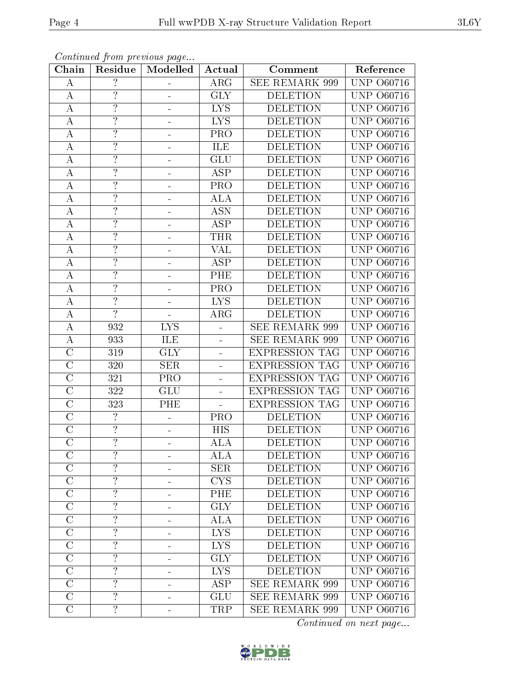| Chain                 | Residue                  | Modelled                | Actual                  | Comment               | Reference            |
|-----------------------|--------------------------|-------------------------|-------------------------|-----------------------|----------------------|
| A                     | $\overline{\mathcal{L}}$ |                         | <b>ARG</b>              | <b>SEE REMARK 999</b> | <b>UNP 060716</b>    |
| $\bf{A}$              | $\ddot{.}$               |                         | <b>GLY</b>              | <b>DELETION</b>       | <b>UNP 060716</b>    |
| A                     | $\overline{?}$           |                         | <b>LYS</b>              | <b>DELETION</b>       | <b>UNP</b><br>O60716 |
| $\boldsymbol{A}$      | $\overline{?}$           |                         | <b>LYS</b>              | <b>DELETION</b>       | UNP<br>O60716        |
| $\boldsymbol{A}$      | $\overline{?}$           |                         | PRO                     | <b>DELETION</b>       | <b>UNP 060716</b>    |
| А                     | $\ddot{?}$               |                         | ILE                     | <b>DELETION</b>       | <b>UNP 060716</b>    |
| $\bf{A}$              | $\overline{?}$           | ÷                       | GLU                     | <b>DELETION</b>       | UNP<br>O60716        |
| $\boldsymbol{A}$      | $\overline{?}$           |                         | <b>ASP</b>              | <b>DELETION</b>       | <b>UNP 060716</b>    |
| $\boldsymbol{A}$      | $\overline{?}$           |                         | PRO                     | <b>DELETION</b>       | <b>UNP 060716</b>    |
| А                     | $\overline{?}$           |                         | ALA                     | <b>DELETION</b>       | <b>UNP 060716</b>    |
| $\bf{A}$              | $\overline{?}$           |                         | <b>ASN</b>              | <b>DELETION</b>       | <b>UNP 060716</b>    |
| $\boldsymbol{A}$      | $\overline{?}$           |                         | <b>ASP</b>              | <b>DELETION</b>       | <b>UNP 060716</b>    |
| $\boldsymbol{A}$      | $\overline{?}$           |                         | THR                     | <b>DELETION</b>       | <b>UNP 060716</b>    |
| A                     | $\overline{\cdot}$       |                         | <b>VAL</b>              | <b>DELETION</b>       | <b>UNP 060716</b>    |
| $\boldsymbol{A}$      | $\overline{?}$           |                         | <b>ASP</b>              | <b>DELETION</b>       | <b>UNP 060716</b>    |
| А                     | $\overline{?}$           |                         | PHE                     | <b>DELETION</b>       | <b>UNP 060716</b>    |
| $\overline{\rm A}$    | $\overline{?}$           |                         | $\overline{\text{PRO}}$ | <b>DELETION</b>       | <b>UNP 060716</b>    |
| $\boldsymbol{A}$      | $\overline{\mathcal{L}}$ |                         | <b>LYS</b>              | <b>DELETION</b>       | <b>UNP 060716</b>    |
| $\bf{A}$              | $\overline{?}$           |                         | <b>ARG</b>              | <b>DELETION</b>       | <b>UNP 060716</b>    |
| $\overline{A}$        | 932                      | <b>LYS</b>              |                         | <b>SEE REMARK 999</b> | <b>UNP</b><br>O60716 |
| $\bf{A}$              | 933                      | ILE                     |                         | SEE REMARK 999        | <b>UNP 060716</b>    |
| $\overline{\rm C}$    | 319                      | $\overline{\text{GLY}}$ | 4                       | <b>EXPRESSION TAG</b> | <b>UNP</b><br>O60716 |
| $\overline{C}$        | 320                      | <b>SER</b>              |                         | <b>EXPRESSION TAG</b> | UNP<br>O60716        |
| $\overline{\rm C}$    | 321                      | PRO                     | -                       | <b>EXPRESSION TAG</b> | <b>UNP</b><br>O60716 |
| $\mathcal{C}$         | 322                      | GLU                     | $\equiv$                | <b>EXPRESSION TAG</b> | <b>UNP</b><br>O60716 |
| $\overline{C}$        | 323                      | PHE                     |                         | <b>EXPRESSION TAG</b> | UNP<br>O60716        |
| $\mathcal{C}$         | $\overline{?}$           |                         | <b>PRO</b>              | <b>DELETION</b>       | <b>UNP</b><br>O60716 |
| $\overline{C}$        | $\overline{?}$           |                         | HIS                     | <b>DELETION</b>       | UNP<br>O60716        |
| $\overline{\rm C}$    | $\overline{?}$           |                         | ALA                     | <b>DELETION</b>       | <b>UNP 060716</b>    |
| $\overline{C}$        | $\overline{?}$           |                         | <b>ALA</b>              | <b>DELETION</b>       | <b>UNP 060716</b>    |
| $\overline{C}$        | $\overline{\cdot}$       |                         | <b>SER</b>              | <b>DELETION</b>       | <b>UNP 060716</b>    |
| $\overline{\rm C}$    | $\overline{?}$           |                         | <b>CYS</b>              | <b>DELETION</b>       | <b>UNP 060716</b>    |
| $\mathcal{C}$         | $\overline{\cdot}$       |                         | PHE                     | <b>DELETION</b>       | <b>UNP 060716</b>    |
| $\overline{\rm C}$    | $\overline{?}$           |                         | $\overline{\text{GLY}}$ | <b>DELETION</b>       | <b>UNP 060716</b>    |
| $\mathcal{C}$         | $\overline{\mathcal{L}}$ |                         | <b>ALA</b>              | <b>DELETION</b>       | <b>UNP 060716</b>    |
| $\overline{\text{C}}$ | $\overline{?}$           |                         | $\overline{\text{LYS}}$ | <b>DELETION</b>       | <b>UNP 060716</b>    |
| $\mathcal{C}$         | $\overline{?}$           |                         | <b>LYS</b>              | <b>DELETION</b>       | <b>UNP 060716</b>    |
| $\mathcal{C}$         | $\overline{?}$           |                         | <b>GLY</b>              | <b>DELETION</b>       | <b>UNP 060716</b>    |
| $\overline{C}$        | $\overline{?}$           |                         | <b>LYS</b>              | <b>DELETION</b>       | <b>UNP 060716</b>    |
| $\overline{C}$        | $\overline{?}$           |                         | <b>ASP</b>              | <b>SEE REMARK 999</b> | <b>UNP 060716</b>    |
| $\overline{\rm C}$    | $\overline{?}$           |                         | GLU                     | <b>SEE REMARK 999</b> | <b>UNP 060716</b>    |
| $\overline{C}$        | $\overline{?}$           |                         | <b>TRP</b>              | SEE REMARK 999        | <b>UNP 060716</b>    |

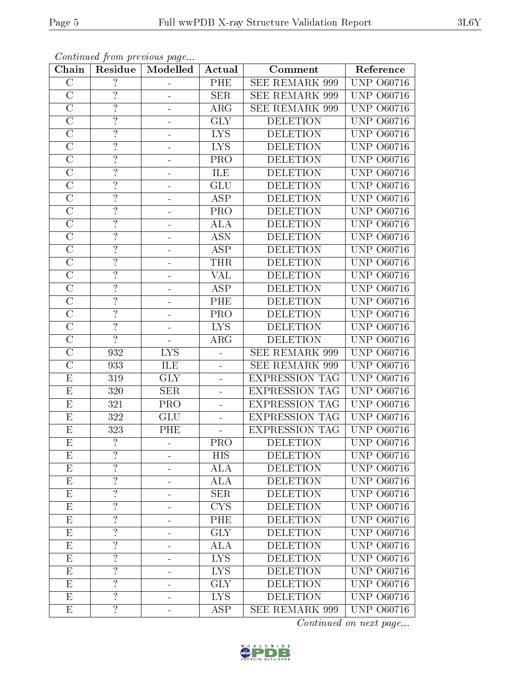| Chain                   | Residue                  | Modelled                | Actual                  | Comment               | Reference            |
|-------------------------|--------------------------|-------------------------|-------------------------|-----------------------|----------------------|
| $\mathcal{C}$           | $\overline{?}$           |                         | PHE                     | <b>SEE REMARK 999</b> | <b>UNP 060716</b>    |
| $\overline{C}$          | $\overline{?}$           |                         | SER.                    | <b>SEE REMARK 999</b> | <b>UNP 060716</b>    |
| $\overline{\rm C}$      | $\overline{?}$           |                         | $\rm{ARG}$              | <b>SEE REMARK 999</b> | <b>UNP 060716</b>    |
| $\mathcal{C}$           | $\overline{?}$           |                         | <b>GLY</b>              | <b>DELETION</b>       | <b>UNP 060716</b>    |
| $\overline{C}$          | $\overline{?}$           |                         | <b>LYS</b>              | <b>DELETION</b>       | <b>UNP 060716</b>    |
| $\mathcal{C}$           | $\overline{?}$           |                         | <b>LYS</b>              | <b>DELETION</b>       | <b>UNP</b><br>O60716 |
| $\overline{C}$          | $\overline{?}$           |                         | PRO                     | <b>DELETION</b>       | <b>UNP 060716</b>    |
| $\overline{C}$          | $\overline{?}$           |                         | ILE                     | <b>DELETION</b>       | UNP<br>O60716        |
| $\mathcal{C}$           | $\overline{?}$           |                         | GLU                     | <b>DELETION</b>       | UNP<br>O60716        |
| $\overline{\rm C}$      | $\overline{?}$           |                         | $\overline{\text{ASP}}$ | <b>DELETION</b>       | <b>UNP</b><br>O60716 |
| $\overline{C}$          | $\overline{?}$           |                         | PRO                     | <b>DELETION</b>       | UNP<br>O60716        |
| $\overline{C}$          | $\overline{?}$           |                         | <b>ALA</b>              | <b>DELETION</b>       | <b>UNP</b><br>O60716 |
| $\overline{C}$          | $\overline{\mathcal{C}}$ |                         | <b>ASN</b>              | <b>DELETION</b>       | UNP<br>O60716        |
| $\overline{C}$          | $\overline{\cdot}$       | ÷                       | <b>ASP</b>              | <b>DELETION</b>       | <b>UNP</b><br>O60716 |
| $\overline{\rm C}$      | $\overline{?}$           |                         | <b>THR</b>              | <b>DELETION</b>       | UNP<br>O60716        |
| $\mathcal{C}$           | $\overline{\cdot}$       |                         | <b>VAL</b>              | <b>DELETION</b>       | <b>UNP</b><br>O60716 |
| $\overline{\rm C}$      | $\overline{?}$           |                         | <b>ASP</b>              | <b>DELETION</b>       | UNP<br>O60716        |
| $\overline{C}$          | $\overline{?}$           | ÷                       | PHE                     | <b>DELETION</b>       | <b>UNP</b><br>O60716 |
| $\overline{C}$          | $\overline{?}$           |                         | PRO                     | <b>DELETION</b>       | UNP<br>O60716        |
| $\overline{C}$          | $\overline{?}$           |                         | <b>LYS</b>              | <b>DELETION</b>       | UNP<br>O60716        |
| $\overline{\rm C}$      | $\overline{?}$           |                         | ARG                     | <b>DELETION</b>       | <b>UNP 060716</b>    |
| $\overline{\rm C}$      | 932                      | $\overline{\text{LYS}}$ | $\blacksquare$          | <b>SEE REMARK 999</b> | <b>UNP 060716</b>    |
| $\mathcal{C}$           | 933                      | ILE                     | $\blacksquare$          | SEE REMARK 999        | UNP<br>O60716        |
| $\overline{\mathrm{E}}$ | 319                      | <b>GLY</b>              | $\blacksquare$          | EXPRESSION TAG        | <b>UNP 060716</b>    |
| E                       | 320                      | <b>SER</b>              | $\frac{1}{2}$           | <b>EXPRESSION TAG</b> | UNP<br>O60716        |
| ${\rm E}$               | 321                      | PRO                     | $\frac{1}{2}$           | <b>EXPRESSION TAG</b> | UNP<br>O60716        |
| ${\rm E}$               | 322                      | GLU                     | $\equiv$                | <b>EXPRESSION TAG</b> | <b>UNP</b><br>O60716 |
| E                       | 323                      | PHE                     |                         | <b>EXPRESSION TAG</b> | UNP<br>O60716        |
| $\overline{\mathrm{E}}$ | $\overline{?}$           |                         | <b>PRO</b>              | <b>DELETION</b>       | UNP<br>O60716        |
| Ε                       | $\ddot{?}$               |                         | HIS                     | <b>DELETION</b>       | <b>UNP 060716</b>    |
| E                       | $\overline{?}$           |                         | ALA                     | <b>DELETION</b>       | <b>UNP 060716</b>    |
| $E_{\rm}$               | $\overline{?}$           |                         | <b>ALA</b>              | <b>DELETION</b>       | <b>UNP 060716</b>    |
| E                       | $\overline{\cdot}$       |                         | <b>SER</b>              | <b>DELETION</b>       | <b>UNP 060716</b>    |
| E                       | $\overline{?}$           |                         | $\overline{\text{CYS}}$ | <b>DELETION</b>       | <b>UNP 060716</b>    |
| E                       | $\overline{?}$           | ÷                       | PHE                     | <b>DELETION</b>       | <b>UNP 060716</b>    |
| $E_{\rm}$               | $\overline{?}$           |                         | $\overline{\text{GLY}}$ | <b>DELETION</b>       | <b>UNP 060716</b>    |
| Ε                       | $\overline{?}$           | ÷                       | ALA                     | <b>DELETION</b>       | <b>UNP 060716</b>    |
| E                       | $\overline{?}$           | ÷                       | <b>LYS</b>              | <b>DELETION</b>       | <b>UNP 060716</b>    |
| $\mathbf{E}$            | $\overline{?}$           |                         | <b>LYS</b>              | <b>DELETION</b>       | <b>UNP 060716</b>    |
| $E_{\parallel}$         | $\overline{?}$           |                         | <b>GLY</b>              | <b>DELETION</b>       | <b>UNP 060716</b>    |
| $E_{\rm}$               | $\overline{?}$           | -                       | $\overline{\text{LYS}}$ | <b>DELETION</b>       | <b>UNP 060716</b>    |
| $\mathbf E$             | $\overline{?}$           |                         | <b>ASP</b>              | <b>SEE REMARK 999</b> | <b>UNP 060716</b>    |

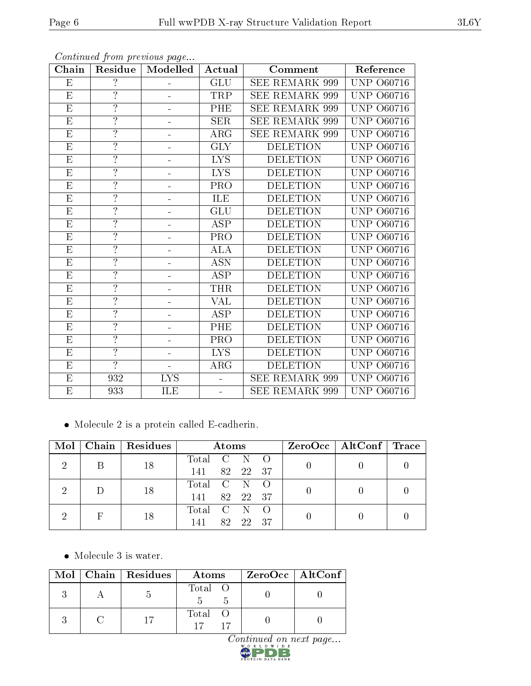| Chain                   | Residue            | Modelled                  | Actual     | Comment               | Reference                 |
|-------------------------|--------------------|---------------------------|------------|-----------------------|---------------------------|
| E                       | $\overline{?}$     |                           | <b>GLU</b> | <b>SEE REMARK 999</b> | <b>UNP 060716</b>         |
| E                       | $\overline{\cdot}$ |                           | TRP        | <b>SEE REMARK 999</b> | <b>UNP 060716</b>         |
| E                       | $\overline{?}$     |                           | PHE        | <b>SEE REMARK 999</b> | <b>UNP 060716</b>         |
| E                       | $\overline{?}$     |                           | <b>SER</b> | SEE REMARK 999        | <b>UNP 060716</b>         |
| $\overline{\mathrm{E}}$ | $\overline{?}$     |                           | $\rm{ARG}$ | SEE REMARK 999        | UNP<br>O60716             |
| E                       | $\overline{?}$     |                           | GLY        | <b>DELETION</b>       | <b>UNP</b><br>O60716      |
| E                       | $\overline{\cdot}$ |                           | <b>LYS</b> | <b>DELETION</b>       | UNP<br>O60716             |
| $\overline{E}$          | $\overline{?}$     |                           | <b>LYS</b> | <b>DELETION</b>       | UNP<br>O60716             |
| E                       | $\ddot{.}$         |                           | PRO        | <b>DELETION</b>       | <b>UNP 060716</b>         |
| E                       | $\overline{?}$     |                           | ILE        | <b>DELETION</b>       | <b>UNP 060716</b>         |
| E                       | $\overline{\cdot}$ |                           | GLU        | <b>DELETION</b>       | <b>UNP 060716</b>         |
| E                       | $\overline{?}$     |                           | <b>ASP</b> | <b>DELETION</b>       | <b>UNP 060716</b>         |
| E                       | $\overline{?}$     |                           | PRO        | <b>DELETION</b>       | <b>UNP</b><br>O60716      |
| E                       | $\overline{?}$     |                           | <b>ALA</b> | <b>DELETION</b>       | UNP<br>O60716             |
| $\overline{\mathrm{E}}$ | $\overline{?}$     |                           | <b>ASN</b> | <b>DELETION</b>       | UNP<br>O60716             |
| E                       | $\overline{?}$     |                           | <b>ASP</b> | <b>DELETION</b>       | <b>UNP 060716</b>         |
| E                       | $\overline{?}$     |                           | <b>THR</b> | <b>DELETION</b>       | O <sub>60716</sub><br>UNP |
| E                       | $\overline{\cdot}$ |                           | VAL        | <b>DELETION</b>       | <b>UNP 060716</b>         |
| E                       | $\overline{?}$     |                           | <b>ASP</b> | <b>DELETION</b>       | <b>UNP 060716</b>         |
| E                       | $\overline{?}$     |                           | PHE        | <b>DELETION</b>       | UNP<br>O60716             |
| E                       | $\overline{?}$     |                           | PRO        | <b>DELETION</b>       | <b>UNP</b><br>O60716      |
| E                       | $\overline{?}$     | $\blacksquare$            | <b>LYS</b> | <b>DELETION</b>       | <b>UNP</b><br>O60716      |
| E                       | $\overline{?}$     |                           | ARG        | <b>DELETION</b>       | <b>UNP</b><br>O60716      |
| $\overline{\mathrm{E}}$ | 932                | $\overline{\mathrm{LYS}}$ |            | SEE REMARK 999        | <b>UNP</b><br>O60716      |
| E                       | 933                | ILE                       |            | <b>SEE REMARK 999</b> | <b>UNP 060716</b>         |

 $\bullet\,$  Molecule 2 is a protein called E-cadherin.

| Mol |  | Chain   Residues | Atoms           |  | ZeroOcc   AltConf   Trace |  |
|-----|--|------------------|-----------------|--|---------------------------|--|
|     |  | 18               | Total C N O     |  |                           |  |
|     |  |                  | 141<br>82 22 37 |  |                           |  |
|     |  | 18               | Total C N       |  |                           |  |
|     |  |                  | 141<br>82 22 37 |  |                           |  |
|     |  | Total C N        |                 |  |                           |  |
|     |  | 18               | 82 22 37<br>141 |  |                           |  |

 $\bullet\,$  Molecule 3 is water.

|  | Mol   Chain   Residues | Atoms   | $ZeroOcc \   \ AltConf \  $ |
|--|------------------------|---------|-----------------------------|
|  |                        | Total O |                             |
|  |                        | Total   |                             |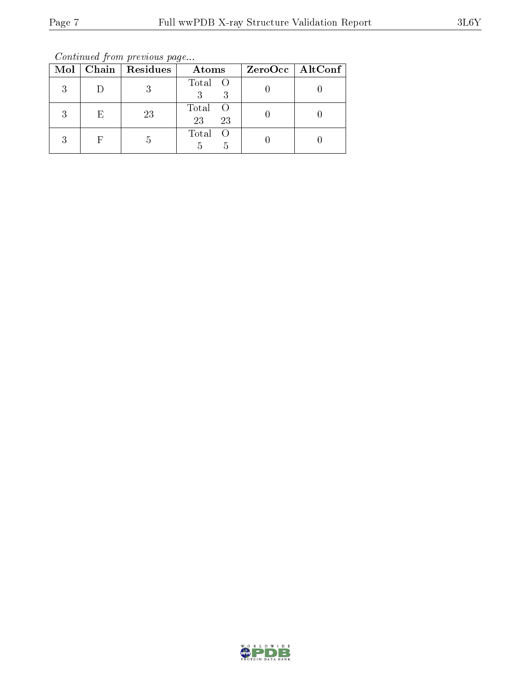Continued from previous page...

|   |    | Mol   Chain   Residues | Atoms                           | ZeroOcc   AltConf |
|---|----|------------------------|---------------------------------|-------------------|
| 3 |    |                        | Total O<br>3                    |                   |
| 3 | E, | 23                     | Total<br>$\bigcirc$<br>23<br>23 |                   |
| 2 |    | b                      | Total<br>5<br>h                 |                   |

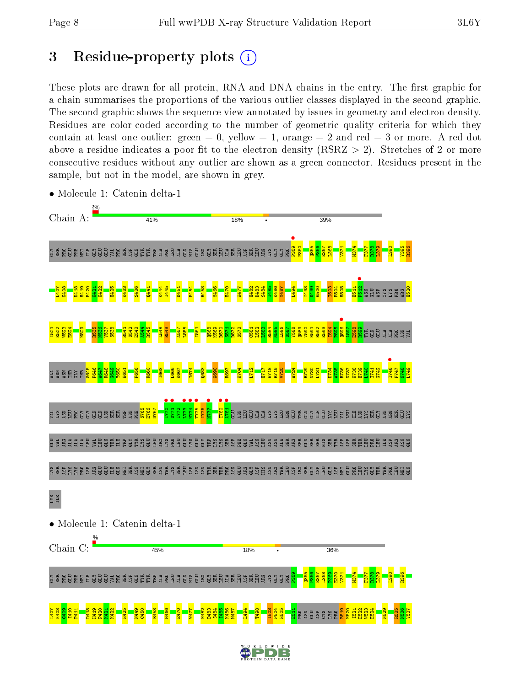## 3 Residue-property plots  $(i)$

These plots are drawn for all protein, RNA and DNA chains in the entry. The first graphic for a chain summarises the proportions of the various outlier classes displayed in the second graphic. The second graphic shows the sequence view annotated by issues in geometry and electron density. Residues are color-coded according to the number of geometric quality criteria for which they contain at least one outlier: green  $= 0$ , yellow  $= 1$ , orange  $= 2$  and red  $= 3$  or more. A red dot above a residue indicates a poor fit to the electron density (RSRZ  $> 2$ ). Stretches of 2 or more consecutive residues without any outlier are shown as a green connector. Residues present in the sample, but not in the model, are shown in grey.



• Molecule 1: Catenin delta-1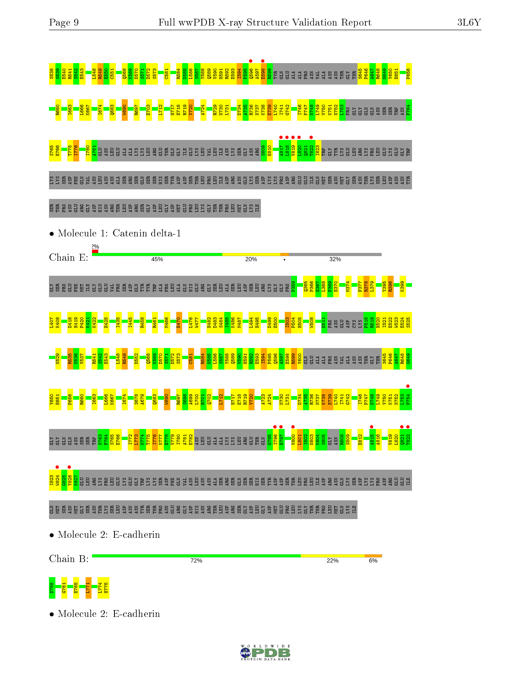



• Molecule 2: E-cadherin

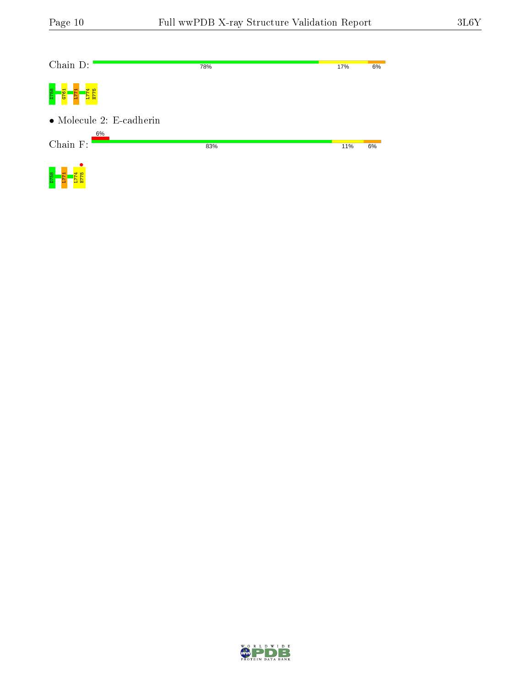| Chain D:                         | 78% | 17% | 6% |
|----------------------------------|-----|-----|----|
| D758<br>676<br>ь                 |     |     |    |
| $\bullet$ Molecule 2: E-cadherin |     |     |    |
| 6%<br>Chain F:                   | 83% | 11% | 6% |
| 8                                |     |     |    |

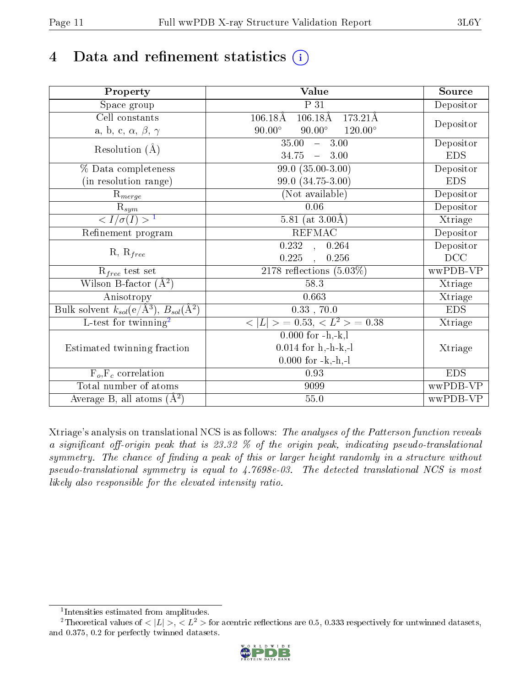# 4 Data and refinement statistics  $(i)$

| Property                                                         | Value                                                | Source     |
|------------------------------------------------------------------|------------------------------------------------------|------------|
| Space group                                                      | $\overline{P}$ 31                                    | Depositor  |
| Cell constants                                                   | $106.18\text{\AA}$<br>$106.18\text{\AA}$<br>173.21Å  |            |
| a, b, c, $\alpha$ , $\beta$ , $\gamma$                           | $90.00^\circ$<br>$90.00^{\circ}$<br>$120.00^{\circ}$ | Depositor  |
| Resolution $(\AA)$                                               | $35.00 - 3.00$                                       | Depositor  |
|                                                                  | $34.75 - 3.00$                                       | <b>EDS</b> |
| % Data completeness                                              | $99.0(35.00-3.00)$                                   | Depositor  |
| (in resolution range)                                            | 99.0 (34.75-3.00)                                    | <b>EDS</b> |
| $R_{merge}$                                                      | (Not available)                                      | Depositor  |
| $\bar{\mathrm{R}}_{\underline{sym}}$                             | 0.06                                                 | Depositor  |
| $\sqrt{I/\sigma(I)} > 1$                                         | 5.81 (at $3.00\text{\AA}$ )                          | Xtriage    |
| Refinement program                                               | <b>REFMAC</b>                                        | Depositor  |
| $R, R_{free}$                                                    | 0.232, 0.264                                         | Depositor  |
|                                                                  | 0.225<br>0.256<br>$\sim$                             | DCC        |
| $R_{free}$ test set                                              | $2178$ reflections $(5.03\%)$                        | wwPDB-VP   |
| Wilson B-factor $(A^2)$                                          | 58.3                                                 | Xtriage    |
| Anisotropy                                                       | 0.663                                                | Xtriage    |
| Bulk solvent $k_{sol}(\text{e}/\text{A}^3), B_{sol}(\text{A}^2)$ | $0.33$ , 70.0                                        | <b>EDS</b> |
| $\overline{L-test for }$ twinning <sup>2</sup>                   | $< L >$ = 0.53, $< L2$ = 0.38                        | Xtriage    |
|                                                                  | $0.000$ for $-h,-k,l$                                |            |
| Estimated twinning fraction                                      | $0.014$ for h,-h-k,-l                                | Xtriage    |
|                                                                  | $0.000$ for $-k,-h,-l$                               |            |
| $\overline{F_o}, \overline{F_c}$ correlation                     | 0.93                                                 | <b>EDS</b> |
| Total number of atoms                                            | 9099                                                 | wwPDB-VP   |
| Average B, all atoms $(A^2)$                                     | 55.0                                                 | wwPDB-VP   |

Xtriage's analysis on translational NCS is as follows: The analyses of the Patterson function reveals a significant off-origin peak that is 23.32  $\%$  of the origin peak, indicating pseudo-translational symmetry. The chance of finding a peak of this or larger height randomly in a structure without pseudo-translational symmetry is equal to 4.7698e-03. The detected translational NCS is most likely also responsible for the elevated intensity ratio.

<sup>&</sup>lt;sup>2</sup>Theoretical values of  $\langle |L| \rangle$ ,  $\langle L^2 \rangle$  for acentric reflections are 0.5, 0.333 respectively for untwinned datasets, and 0.375, 0.2 for perfectly twinned datasets.



<span id="page-10-1"></span><span id="page-10-0"></span><sup>1</sup> Intensities estimated from amplitudes.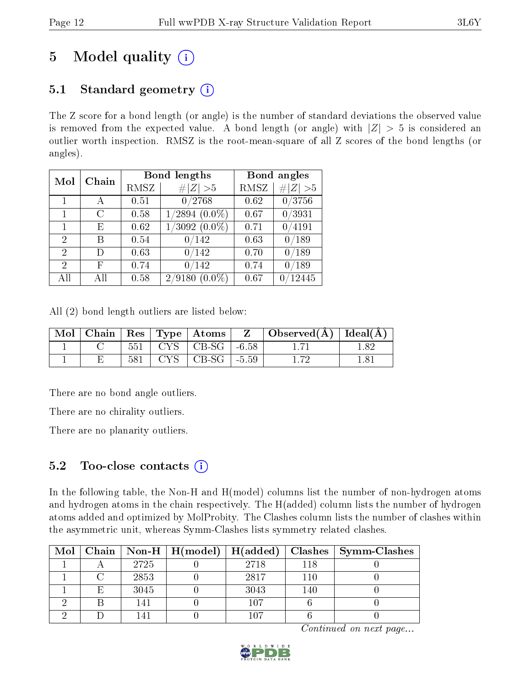## 5 Model quality  $(i)$

### 5.1 Standard geometry  $(i)$

The Z score for a bond length (or angle) is the number of standard deviations the observed value is removed from the expected value. A bond length (or angle) with  $|Z| > 5$  is considered an outlier worth inspection. RMSZ is the root-mean-square of all Z scores of the bond lengths (or angles).

| Mol | Chain | <b>Bond lengths</b> |                     | Bond angles |                |
|-----|-------|---------------------|---------------------|-------------|----------------|
|     |       | RMSZ                | Z   > 5             | RMSZ        | # $ Z  > 5$    |
| 1   | А     | 0.51                | 0/2768              | 0.62        | 0/3756         |
| 1   | C     | 0.58                | $1/2894~(0.0\%)$    | 0.67        | 0/3931         |
| 1   | Ε     | 0.62                | $1/3092(0.0\%)$     | 0.71        | 0/4191         |
| 2   | В     | 0.54                | 0/142               | 0.63        | 0/189          |
| 2   | D)    | 0.63                | 0/142               | 0.70        | 0/189          |
| 2   | F     | 0.74                | 0/142               | 0.74        | $^{\prime}189$ |
| All | ΑH    | 0.58                | 2/9180<br>$(0.0\%)$ | 0.67        | 12445          |

All (2) bond length outliers are listed below:

| Mol |     |                                         | $\mid$ Chain $\mid$ Res $\mid$ Type $\mid$ Atoms $\mid$ $\mid$ Z $\mid$ Observed(Å) $\mid$ Ideal(Å) |     |
|-----|-----|-----------------------------------------|-----------------------------------------------------------------------------------------------------|-----|
|     |     | $551$   CYS   CB-SG   -6.58             |                                                                                                     | 182 |
|     | 581 | $\vert$ CYS $\vert$ CB-SG $\vert$ -5.59 | 172                                                                                                 | 181 |

There are no bond angle outliers.

There are no chirality outliers.

There are no planarity outliers.

### 5.2 Too-close contacts  $(i)$

In the following table, the Non-H and H(model) columns list the number of non-hydrogen atoms and hydrogen atoms in the chain respectively. The H(added) column lists the number of hydrogen atoms added and optimized by MolProbity. The Clashes column lists the number of clashes within the asymmetric unit, whereas Symm-Clashes lists symmetry related clashes.

| Mol |   |      |      |     | Chain   Non-H   H(model)   H(added)   Clashes   Symm-Clashes |
|-----|---|------|------|-----|--------------------------------------------------------------|
|     |   | 2725 | 2718 | 118 |                                                              |
|     |   | 2853 | 2817 | 110 |                                                              |
|     | E | 3045 | 3043 | 140 |                                                              |
|     |   | 141  | 107  |     |                                                              |
|     |   |      | ۱∩7  |     |                                                              |

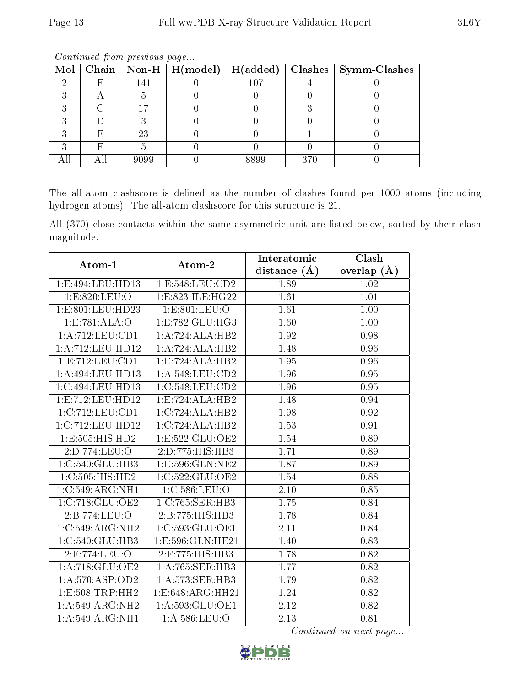|   |      |      |     | Mol   Chain   Non-H   H(model)   H(added)   Clashes   Symm-Clashes |
|---|------|------|-----|--------------------------------------------------------------------|
|   | 141  | 107  |     |                                                                    |
|   |      |      |     |                                                                    |
|   |      |      |     |                                                                    |
|   |      |      |     |                                                                    |
| Е | 23   |      |     |                                                                    |
|   |      |      |     |                                                                    |
|   | 9099 | 8899 | 370 |                                                                    |

The all-atom clashscore is defined as the number of clashes found per 1000 atoms (including hydrogen atoms). The all-atom clashscore for this structure is 21.

All (370) close contacts within the same asymmetric unit are listed below, sorted by their clash magnitude.

| Atom-1              | Atom-2                                        | Interatomic       | Clash         |
|---------------------|-----------------------------------------------|-------------------|---------------|
|                     |                                               | distance $(\AA)$  | overlap $(A)$ |
| 1:E:494:LEU:HD13    | 1:E:548:LEU:CD2                               | 1.89              | 1.02          |
| 1:E:820:LEU:O       | 1:ES:323:ILE:HG22                             | 1.61              | 1.01          |
| 1:E:801:LEU:HD23    | 1: E: 801: LEU: O                             | 1.61              | 1.00          |
| 1:E:781:ALA:O       | 1: E: 782: GLU: HG3                           | 1.60              | 1.00          |
| 1:A:712:LEU:CD1     | 1:A:724:ALA:HB2                               | 1.92              | 0.98          |
| 1: A:712: LEU: HD12 | 1:A:724:ALA:HB2                               | 1.48              | 0.96          |
| 1:E:712:LEU:CD1     | $1: E: 724: \overline{\text{ALA}:\text{HB2}}$ | 1.95              | 0.96          |
| 1:A:494:LEU:HD13    | 1: A:548:LEU:CD2                              | 1.96              | 0.95          |
| 1:C:494:LEU:HD13    | 1:C:548:LEU:CD2                               | 1.96              | 0.95          |
| 1:E:712:LEU:HD12    | 1:E:724:ALA:HB2                               | 1.48              | 0.94          |
| 1:C:712:LEU:CD1     | 1:C:724:ALA:HB2                               | 1.98              | 0.92          |
| 1:C:712:LEU:HD12    | 1:C:724:ALA:HB2                               | 1.53              | 0.91          |
| 1:E:505:HIS:HD2     | 1: E: 522: GLU: OE2                           | 1.54              | 0.89          |
| 2:D:774:LEU:O       | 2:D:775:HIS:HB3                               | 1.71              | 0.89          |
| 1:C:540:GLU:HB3     | 1:E:596:GLN:NE2                               | 1.87              | 0.89          |
| 1:C:505:HIS:HD2     | 1:C:522:GLU:OE2                               | 1.54              | 0.88          |
| 1:C:549:ARG:NH1     | 1:C:586:LEU:O                                 | $\overline{2.10}$ | 0.85          |
| 1:C:718:GLU:OE2     | 1:C:765:SER:HB3                               | 1.75              | 0.84          |
| 2:B:774:LEU:O       | 2:B:775:HIS:HB3                               | 1.78              | 0.84          |
| 1:C:549:ARG:NH2     | 1:C:593:GLU:OE1                               | 2.11              | 0.84          |
| 1:C:540:GLU:HB3     | 1:E:596:GLN:HE21                              | 1.40              | 0.83          |
| 2:F:774:LEU:O       | 2:F:775:HIS:HB3                               | 1.78              | 0.82          |
| 1:A:718:GLU:OE2     | 1: A:765: SER:HB3                             | 1.77              | 0.82          |
| 1:A:570:ASP:OD2     | 1:A:573:SER:HB3                               | 1.79              | 0.82          |
| 1: E: 508: TRP: HH2 | 1:E:648:ARG:HH21                              | 1.24              | 0.82          |
| 1:A:549:ARG:NH2     | 1:A:593:GLU:OE1                               | 2.12              | 0.82          |
| 1:A:549:ARG:NH1     | 1: A:586:LEU:O                                | 2.13              | 0.81          |

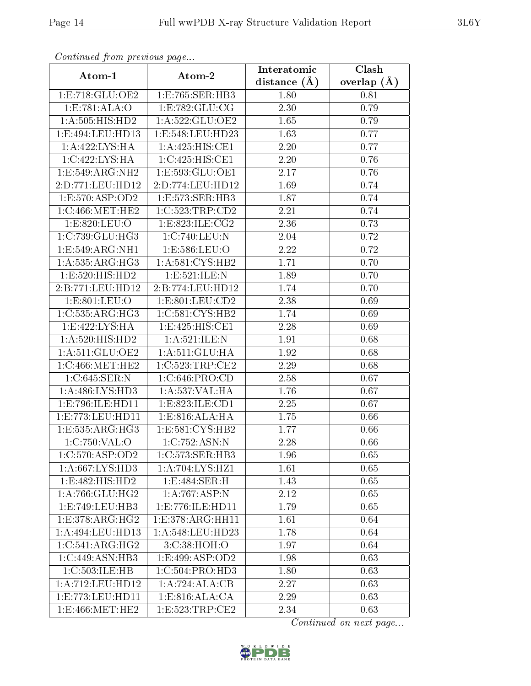| Continuati pont previous page        |                            | Interatomic       | Clash         |
|--------------------------------------|----------------------------|-------------------|---------------|
| Atom-1                               | Atom-2                     | distance $(\AA)$  | overlap $(A)$ |
| 1:E:718:GLU:OE2                      | 1:E:765:SER:HB3            | 1.80              | 0.81          |
| 1:E:781:ALA:O                        | 1: E: 782: GLU: CG         | $\overline{2.30}$ | 0.79          |
| 1: A: 505: HIS: HD2                  | 1: A:522: GLU:OE2          | 1.65              | 0.79          |
| 1:E:494:LEU:HD13                     | 1:E:548:LEU:HD23           | 1.63              | 0.77          |
| 1:A:422:LYS:HA                       | 1: A:425: HIS: CE1         | 2.20              | 0.77          |
| 1:C:422:LYS:HA                       | 1:C:425:HIS:CE1            | 2.20              | 0.76          |
| 1:E:549:ARG:NH2                      | 1:E:593:GLU:OE1            | 2.17              | 0.76          |
| 2:D:771:LEU:HD12                     | 2:D:774:LEU:HD12           | 1.69              | 0.74          |
| 1:E:570:ASP:OD2                      | 1:E:573:SER:HB3            | 1.87              | 0.74          |
| 1:C:466:MET:HE2                      | 1:C:523:TRP:CD2            | 2.21              | 0.74          |
| 1:E:820:LEU:O                        | 1:E:823:ILE:CG2            | 2.36              | 0.73          |
| 1:C:739:CLU:HG3                      | 1:C:740:LEU:N              | 2.04              | 0.72          |
| 1:E:549:ARG:NH1                      | 1:E:586:LEU:O              | 2.22              | 0.72          |
| 1: A: 535: ARG: HG3                  | 1: A:581:CYS:HB2           | 1.71              | 0.70          |
| 1:E:520:HIS:HD2                      | 1:E:521:ILE:N              | 1.89              | 0.70          |
| 2:B:771:LEU:HD12                     | 2:B:774:LEU:HD12           | 1.74              | 0.70          |
| 1: E: 801: LEU: O                    | 1: E: 801: LEU: CD2        | 2.38              | 0.69          |
| 1:C:535:ARG:HG3                      | 1:C:581:CYS:HB2            | 1.74              | 0.69          |
| 1:E:422:LYS:HA                       | 1:E:425:HIS:CE1            | 2.28              | 0.69          |
| 1: A:520: HIS: HD2                   | 1: A:521: ILE:N            | 1.91              | 0.68          |
| 1: A:511: GLU:OE2                    | 1:A:511:GLU:HA             | 1.92              | 0.68          |
| 1:C:466:MET:HE2                      | 1:C:523:TRP:CE2            | 2.29              | 0.68          |
| 1:C:645:SER:N                        | 1:C:646:PRO:CD             | 2.58              | 0.67          |
| 1: A:486: LYS: HD3                   | 1: A: 537: VAL: HA         | 1.76              | 0.67          |
| 1:E:796:ILE:HD11                     | 1: E: 823: ILE: CD1        | 2.25              | 0.67          |
| 1:E:773:LEU:HD11                     | 1: E:816: ALA: HA          | 1.75              | 0.66          |
| 1:E:535:ARG:HG3                      | 1: E: 581: CYS: HB2        | 1.77              | 0.66          |
| 1:C:750:VAL:O                        | $1:C.\overline{752:ASN:N}$ | 2.28              | 0.66          |
| $1:C:570: \overline{\text{ASP:OD2}}$ | 1:C:573:SER:HB3            | 1.96              | 0.65          |
| 1:A:667:LYS:HD3                      | 1:A:704:LYS:HZ1            | 1.61              | 0.65          |
| 1:E:482:HIS:HD2                      | 1: E:484: SER:H            | 1.43              | 0.65          |
| 1: A:766: GLU:HG2                    | 1:A:767:ASP:N              | 2.12              | 0.65          |
| 1:E:749:EU:HB3                       | 1:E:776:ILE:HD11           | 1.79              | 0.65          |
| 1:E:378:ARG:HG2                      | 1:E:378:ARG:HH11           | 1.61              | 0.64          |
| 1: A:494:LEU:HD13                    | 1:A:548:LEU:HD23           | 1.78              | 0.64          |
| 1:C:541:ARG:HG2                      | 3:C:38:HOH:O               | 1.97              | 0.64          |
| 1:C:449:ASN:HB3                      | 1:E:499:ASP:OD2            | 1.98              | 0.63          |
| 1:C:503:ILE:HB                       | 1:C:504:PRO:HD3            | 1.80              | 0.63          |
| 1: A:712: LEU: HD12                  | 1:A:724:ALA:CB             | 2.27              | 0.63          |
| 1:E:773:LEU:HD11                     | 1: E:816: ALA:CA           | 2.29              | 0.63          |
| 1:E:466:MET:HE2                      | 1:E:523:TRP:CE2            | 2.34              | 0.63          |

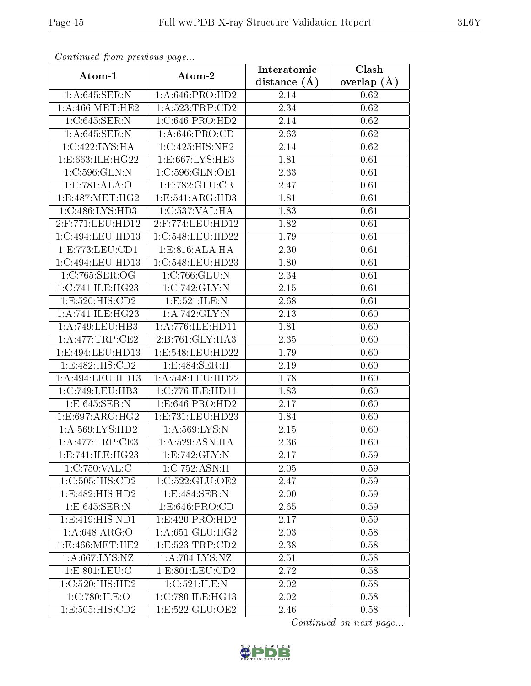| Continued from previous page    |                     | Interatomic    | Clash         |
|---------------------------------|---------------------|----------------|---------------|
| Atom-1                          | Atom-2              | distance $(A)$ | overlap $(A)$ |
| 1:A:645:SER:N                   | 1: A:646: PRO:HD2   | 2.14           | 0.62          |
| 1: A:466:MET:HE2                | 1:A:523:TRP:CD2     | 2.34           | 0.62          |
| 1:C:645:SER:N                   | 1:C:646:PRO:HD2     | 2.14           | 0.62          |
| 1: A:645: SER: N                | 1: A:646: PRO:CD    | 2.63           | 0.62          |
| 1:C:422:LYS:HA                  | 1:C:425:HIS:NE2     | 2.14           | 0.62          |
| 1:E:663:ILE:HG22                | 1:E:667:LYS:HE3     | 1.81           | 0.61          |
| 1:C:596:GLN:N                   | 1:C:596:GLN:OE1     | 2.33           | 0.61          |
| 1:E:781:ALA:O                   | 1:E:782:GLU:CB      | 2.47           | 0.61          |
| 1:Eq87:MET:HG2                  | 1:E:541:ARG:HD3     | 1.81           | 0.61          |
| 1:C:486:LYS:HD3                 | 1:C:537:VAL:HA      | 1.83           | 0.61          |
| $2:$ F:771:LEU:HD12             | $2:$ F:774:LEU:HD12 | 1.82           | 0.61          |
| 1:C:494:LEU:HD13                | 1:C:548:LEU:HD22    | 1.79           | 0.61          |
| 1: E: 773: LEU: CD1             | 1: E:816: ALA: HA   | 2.30           | 0.61          |
| 1:C:494:LEU:HD13                | 1:C:548:LEU:HD23    | 1.80           | 0.61          |
| 1:C:765:SER:OG                  | 1:C:766:GLU:N       | 2.34           | 0.61          |
| 1:C:741:ILE:HG23                | 1:C:742:GLY:N       | 2.15           | 0.61          |
| 1:E:520:HIS:CD2                 | 1:E:521:ILE:N       | 2.68           | 0.61          |
| 1: A:741: ILE: HG23             | 1:A:742:GLY:N       | 2.13           | 0.60          |
| 1:A:749:LEU:HB3                 | 1:A:776:ILE:HD11    | 1.81           | 0.60          |
| 1: A:477:TRP:CE2                | 2:B:761:GLY:HA3     | 2.35           | 0.60          |
| 1:E:494:LEU:HD13                | 1:E:548:LEU:HD22    | 1.79           | 0.60          |
| 1:E:482:HIS:CD2                 | 1:E:484:SER:H       | 2.19           | 0.60          |
| 1:A:494:LEU:HD13                | 1:A:548:LEU:HD22    | 1.78           | 0.60          |
| 1:C:749:LEU:HB3                 | 1:C:776:ILE:HD11    | 1.83           | 0.60          |
| 1:E:645:SER:N                   | 1:E:646:PRO:HD2     | 2.17           | 0.60          |
| 1:E:697:ARG:HG2                 | 1:E:731:LEU:HD23    | 1.84           | 0.60          |
| 1:A:569:LYS:HD2                 | 1:A:569:LYS:N       | 2.15           | 0.60          |
| 1:A:477:TRP:CE3                 | 1:A:529:ASN:HA      | 2.36           | 0.60          |
| 1:E:741:ILE:HG23                | 1: E: 742: GLY:N    | 2.17           | 0.59          |
| 1:C:750:VAL:CC                  | 1:C:752:ASN:H       | 2.05           | 0.59          |
| 1: C: 505: HIS: CD2             | 1:C:522:GLU:OE2     | 2.47           | 0.59          |
| 1: E:482: HIS: HD2              | 1: E:484: SER: N    | 2.00           | 0.59          |
| 1: E:645: SER: N                | 1: E: 646: PRO:CD   | 2.65           | 0.59          |
| 1: E: 419: HIS: ND1             | 1:E:420:PRO:HD2     | 2.17           | 0.59          |
| 1:A:648:ARG:O                   | 1: A:651: GLU:HG2   | 2.03           | 0.58          |
| 1: E: 466: MET: HE2             | 1: E: 523: TRP: CD2 | 2.38           | 0.58          |
| 1: A:667:LYS:NZ                 | 1: A:704:LYS:NZ     | 2.51           | 0.58          |
| 1: E: 801: LEU: C               | 1: E: 801: LEU: CD2 | 2.72           | 0.58          |
| 1:C:520:HIS:HD2                 | 1:C:521:ILE:N       | 2.02           | 0.58          |
| 1:C:780:ILE:O                   | 1:C:780:ILE:HG13    | 2.02           | 0.58          |
| $1: E: 505: HI\overline{S:CD2}$ | 1:E:522:GLU:OE2     | 2.46           | 0.58          |

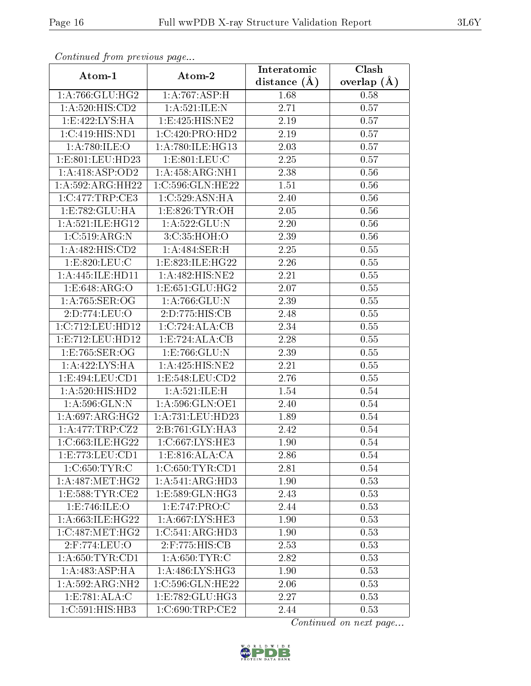| Continuati pont previous page         |                     | Interatomic    | Clash           |
|---------------------------------------|---------------------|----------------|-----------------|
| Atom-1                                | Atom-2              | distance $(A)$ | overlap $(\AA)$ |
| 1: A:766: GLU:HG2                     | 1:A:767:ASP:H       | 1.68           | 0.58            |
| 1: A:520: HIS: CD2                    | 1: A:521: ILE:N     | 2.71           | 0.57            |
| 1: E:422: LYS: HA                     | 1: E: 425: HIS: NE2 | $2.19\,$       | 0.57            |
| 1:C:419:HIS:ND1                       | 1:C:420:PRO:HD2     | 2.19           | 0.57            |
| 1: A:780: ILE: O                      | 1: A:780: ILE: HG13 | 2.03           | 0.57            |
| 1:E:801:LEU:HD23                      | 1: E: 801: LEU: C   | 2.25           | 0.57            |
| 1:A:418:ASP:OD2                       | 1:A:458:ARG:NH1     | 2.38           | 0.56            |
| 1:A:592:ARG:HH22                      | 1:C:596:GLN:HE22    | 1.51           | 0.56            |
| 1:C:477:TRP:CE3                       | 1: C:529: ASN: HA   | 2.40           | 0.56            |
| 1:E:782:GLU:HA                        | 1: E: 826: TYR: OH  | 2.05           | 0.56            |
| 1:A:521:ILE:HG12                      | 1:A:522:GLU:N       | 2.20           | 0.56            |
| 1:C:519:ARG:N                         | 3:C:35:HOH:O        | 2.39           | 0.56            |
| 1:A:482:HIS:CD2                       | 1:A:484:SER:H       | 2.25           | 0.55            |
| 1: E: 820: LEU: C                     | 1:E:823:ILE:HG22    | 2.26           | 0.55            |
| 1:A:445:ILE:HD11                      | 1:A:482:HIS:NE2     | 2.21           | 0.55            |
| 1:E:648:ARG:O                         | 1: E: 651: GLU: HG2 | 2.07           | 0.55            |
| 1: A:765: SER:OG                      | 1:A:766:GLU:N       | 2.39           | 0.55            |
| 2:D:774:LEU:O                         | 2:D:775:HIS:CB      | 2.48           | 0.55            |
| 1:C:712:LEU:HD12                      | 1:C:724:ALA:CB      | 2.34           | 0.55            |
| 1:E:712:LEU:HD12                      | 1: E: 724: ALA: CB  | 2.28           | 0.55            |
| 1:E:765:SER:OG                        | 1:E:766:GLU:N       | 2.39           | 0.55            |
| 1:A:422:LYS:HA                        | 1: A:425: HIS: NE2  | 2.21           | 0.55            |
| 1: E: 494: LEU: CD1                   | 1: E: 548: LEU: CD2 | 2.76           | 0.55            |
| 1:A:520:HIS:HD2                       | 1: A:521: ILE:H     | 1.54           | 0.54            |
| 1: A:596: GLN:N                       | 1: A:596: GLN:OE1   | 2.40           | 0.54            |
| 1: A:697: ARG: HG2                    | 1:A:731:LEU:HD23    | 1.89           | 0.54            |
| 1:A:477:TRP:CZ2                       | 2:B:761:GLY:HA3     | 2.42           | 0.54            |
| 1:C:663:ILE:HG22                      | 1:C:667:LYS:HE3     | 1.90           | 0.54            |
| 1:E:773:LEU:CD1                       | 1:E:816:ALA:CA      | 2.86           | 0.54            |
| 1:C:650:TYR:C                         | 1:C:650:TYR:CD1     | 2.81           | 0.54            |
| $1:A:487:\overline{\mathrm{MET:HG2}}$ | 1:A:541:ARG:HD3     | 1.90           | 0.53            |
| 1: E: 588: TYR: CE2                   | 1: E: 589: GLN: HG3 | 2.43           | 0.53            |
| 1:E:746:ILE:O                         | 1:E:747:PRO:C       | 2.44           | 0.53            |
| 1:A:663:ILE:HG22                      | 1:A:667:LYS:HE3     | 1.90           | 0.53            |
| 1:C:487:MET:HG2                       | 1:C:541:ARG:HD3     | 1.90           | 0.53            |
| 2:F:774:LEU:O                         | 2:F:775:HIS:CB      | 2.53           | 0.53            |
| 1: A:650: TYR: CD1                    | 1: A:650: TYR: C    | 2.82           | 0.53            |
| 1: A:483:ASP:HA                       | 1:A:486:LYS:HG3     | 1.90           | 0.53            |
| 1:A:592:ARG:NH2                       | 1:C:596:GLN:HE22    | 2.06           | 0.53            |
| 1:E:781:ALA:C                         | 1: E: 782: GLU: HG3 | 2.27           | 0.53            |
| 1:C:591:HIS:HB3                       | 1:C:690:TRP:CE2     | 2.44           | 0.53            |

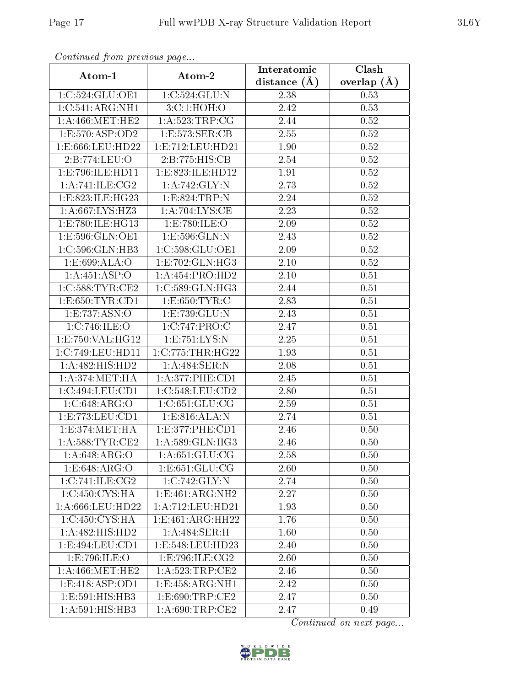| Conningea from previous page |                      | Interatomic      | Clash           |
|------------------------------|----------------------|------------------|-----------------|
| Atom-1                       | Atom-2               | distance $(\AA)$ | overlap $(\AA)$ |
| 1:C:524:GLU:OE1              | 1:C:524:GLU:N        | 2.38             | 0.53            |
| 1:C:541:ARG:NH1              | 3: C: 1: HOH:O       | 2.42             | 0.53            |
| 1: A:466:MET:HE2             | 1: A:523:TRP:CG      | 2.44             | 0.52            |
| 1: E: 570: ASP: OD2          | 1:E:573:SER:CB       | 2.55             | 0.52            |
| 1:E:666:LEU:HD22             | 1: E: 712: LEU: HD21 | 1.90             | $0.52\,$        |
| 2:B:774:LEU:O                | 2:B:775:HIS:CB       | 2.54             | 0.52            |
| 1:E:796:ILE:HD11             | 1:E:823:ILE:HD12     | 1.91             | $0.52\,$        |
| 1: A:741: ILE: CG2           | 1: A:742: GLY:N      | 2.73             | 0.52            |
| 1:E:823:ILE:HG23             | 1:E:824:TRP:N        | 2.24             | 0.52            |
| 1:A:667:LYS:HZ3              | 1:A:704:LYS:CE       | 2.23             | 0.52            |
| 1:E:780:ILE:HG13             | 1:E:780:ILE:O        | 2.09             | $0.52\,$        |
| 1:E:596:GLN:OE1              | 1:E:596:GLN:N        | 2.43             | 0.52            |
| 1:C:596:GLN:HB3              | 1:C:598:GLU:OE1      | 2.09             | 0.52            |
| 1: E:699: ALA:O              | 1:E:702:GLN:HG3      | 2.10             | 0.52            |
| 1:A:451:ASP:O                | 1:A:454:PRO:HD2      | 2.10             | 0.51            |
| 1:C:588:TYR:CE2              | 1:C:589:GLN:HG3      | 2.44             | 0.51            |
| 1: E: 650: TYR: CD1          | 1: E: 650: TYR: C    | 2.83             | 0.51            |
| 1:E:737:ASN:O                | 1:E:739:GLU:N        | 2.43             | 0.51            |
| 1:C:746:ILE:O                | 1:C:747:PRO:C        | 2.47             | 0.51            |
| 1:E:750:VAL:HG12             | 1:E:751:LYS:N        | 2.25             | 0.51            |
| 1:C:749:LEU:HD11             | 1:C:775:THR:HG22     | 1.93             | 0.51            |
| 1:A:482:HIS:HD2              | 1:A:484:SER:N        | 2.08             | 0.51            |
| 1: A:374:MET:HA              | 1: A:377:PHE:CD1     | 2.45             | 0.51            |
| 1:C:494:LEU:CD1              | 1:C:548:LEU:CD2      | 2.80             | 0.51            |
| 1:C:648:ARG:O                | 1:C:651:GLU:CG       | 2.59             | 0.51            |
| 1:E:773:EU:CD1               | 1: E: 816: ALA: N    | 2.74             | 0.51            |
| 1:E:374:MET:HA               | 1: E: 377: PHE: CD1  | 2.46             | 0.50            |
| 1: A:588:TYR:CE2             | 1:A:589:GLN:HG3      | 2.46             | 0.50            |
| 1: A:648: ARG:O              | 1: A:651: GLU:CG     | 2.58             | 0.50            |
| 1:E:648:ARG:O                | 1: E: 651: GLU: CG   | 2.60             | 0.50            |
| 1:C:741:ILE:CG2              | 1:C:742:GLY:N        | 2.74             | 0.50            |
| 1:C:450:CYS:HA               | 1:E:461:ARG:NH2      | 2.27             | 0.50            |
| 1:A:666:LEU:HD22             | 1: A: 712: LEU: HD21 | 1.93             | 0.50            |
| 1:C:450:CYS:HA               | 1:E:461:ARG:HH22     | 1.76             | 0.50            |
| 1:A:482:HIS:HD2              | 1: A:484: SER:H      | 1.60             | 0.50            |
| 1:E:494:LEU:CD1              | 1: E: 548: LEU: HD23 | 2.40             | 0.50            |
| 1:E:796:ILE:O                | 1:E:796:ILE:CG2      | 2.60             | 0.50            |
| 1: A:466:MET:HE2             | 1: A:523:TRP:CE2     | 2.46             | 0.50            |
| 1: E: 418: ASP: OD1          | 1:E:458:ARG:NH1      | 2.42             | 0.50            |
| 1:E:591:HIS:HBB3             | 1: E: 690: TRP: CE2  | 2.47             | 0.50            |
| 1:A:591:HIS:HB3              | 1: A:690:TRP:CE2     | 2.47             | 0.49            |

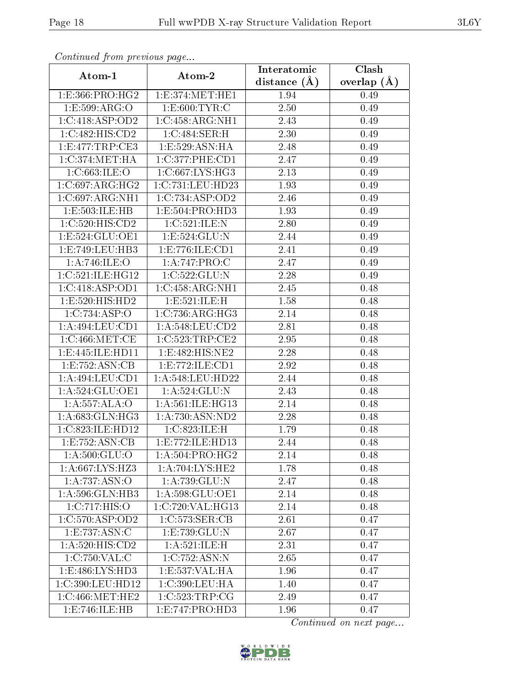| Communa from previous page     |                      | Interatomic      | Clash           |
|--------------------------------|----------------------|------------------|-----------------|
| Atom-1                         | Atom-2               | distance $(\AA)$ | overlap $(\AA)$ |
| 1:E:366:PRO:HG2                | 1:E:374:MET:HE1      | 1.94             | 0.49            |
| 1:E:599:ARG:O                  | 1: E:600: TYR: C     | 2.50             | 0.49            |
| 1:C:418:ASP:OD2                | 1:C:458:ARG:NH1      | 2.43             | 0.49            |
| 1:C:482:HIS:CD2                | 1:C:484:SER:H        | 2.30             | 0.49            |
| 1: E:477: TRP:CE3              | 1:E:529:ASN:HA       | 2.48             | 0.49            |
| $1:C:374:MET:\overline{HA}$    | 1:C:377:PHE:CD1      | 2.47             | 0.49            |
| 1:C:663:ILE:O                  | 1:C:667:LYS:HG3      | 2.13             | 0.49            |
| 1:C:697:ARG:HG2                | 1:C:731:LEU:HD23     | 1.93             | 0.49            |
| 1:C:697:ARG:NH1                | 1:C:734:ASP:OD2      | 2.46             | 0.49            |
| 1:E:503:ILE:HB                 | 1: E: 504: PRO: HD3  | 1.93             | 0.49            |
| 1:C:520:HIS:CD2                | 1:C:521:ILE:N        | 2.80             | 0.49            |
| 1:E:524:GLU:OE1                | 1: E: 524: GLU: N    | 2.44             | 0.49            |
| 1:E:749:LEU:HB3                | 1:E:776:ILE:CD1      | 2.41             | 0.49            |
| 1: A:746: ILE: O               | 1:A:747:PRO:C        | 2.47             | 0.49            |
| 1:C:521:ILE:HG12               | 1:C:522:GLU:N        | 2.28             | 0.49            |
| 1:C:418:ASP:OD1                | 1:C:458:ARG:NH1      | 2.45             | 0.48            |
| 1:E:520:HIS:HD2                | 1:E:521:ILE:H        | 1.58             | 0.48            |
| 1:C:734:ASP:O                  | 1:C:736:ARG:HG3      | 2.14             | 0.48            |
| 1:A:494:LEU:CD1                | 1:A:548:LEU:CD2      | 2.81             | 0.48            |
| 1:C:466:MET:CE                 | 1:C:523:TRP:CE2      | 2.95             | 0.48            |
| 1:E:445:ILE:HD11               | 1:E:482:HIS:NE2      | 2.28             | 0.48            |
| $1: E: 752: \overline{ASN:CB}$ | 1: E: 772: ILE: CD1  | 2.92             | 0.48            |
| 1:A:494:LEU:CD1                | 1: A:548:LEU:HD22    | 2.44             | 0.48            |
| 1: A:524: GLU:OE1              | 1:A:524:GLU:N        | 2.43             | 0.48            |
| 1: A: 557: ALA: O              | 1: A:561: ILE: HG13  | 2.14             | 0.48            |
| 1: A:683: GLN: HG3             | 1:A:730:ASN:ND2      | 2.28             | 0.48            |
| 1:C:823:ILE:HD12               | 1:C:823:ILE:H        | 1.79             | 0.48            |
| 1:E:752:ASN:CB                 | 1: E: 772: ILE: HD13 | 2.44             | 0.48            |
| 1:A:500:GLU:O                  | 1: A:504:PRO:HG2     | 2.14             | 0.48            |
| 1: A:667:LYS:HZ3               | 1: A:704: LYS: HE2   | 1.78             | 0.48            |
| 1:A:737:ASN:O                  | 1:A:739:GLU:N        | 2.47             | 0.48            |
| 1:A:596:GLN:HB3                | 1:A:598:GLU:OE1      | 2.14             | 0.48            |
| 1:C:717:HIS:O                  | 1:C:720:VAL:HG13     | 2.14             | 0.48            |
| 1:C:570:ASP:OD2                | 1:C:573:SER:CB       | 2.61             | 0.47            |
| 1:E:737:ASN:C                  | 1: E: 739: GLU:N     | 2.67             | 0.47            |
| 1: A:520: HIS: CD2             | 1: A:521: ILE:H      | 2.31             | 0.47            |
| 1:C:750:VAL:C                  | 1:C:752:ASN:N        | 2.65             | 0.47            |
| 1:E:486:LYS:HD3                | 1:E:537:VAL:HA       | 1.96             | 0.47            |
| 1:C:390:LEU:HD12               | 1:C:390:LEU:HA       | 1.40             | 0.47            |
| 1:C:466:MET:HE2                | 1:C:523:TRP:CG       | 2.49             | 0.47            |
| 1:E:746:ILE:HB                 | 1: E: 747: PRO: HD3  | 1.96             | 0.47            |

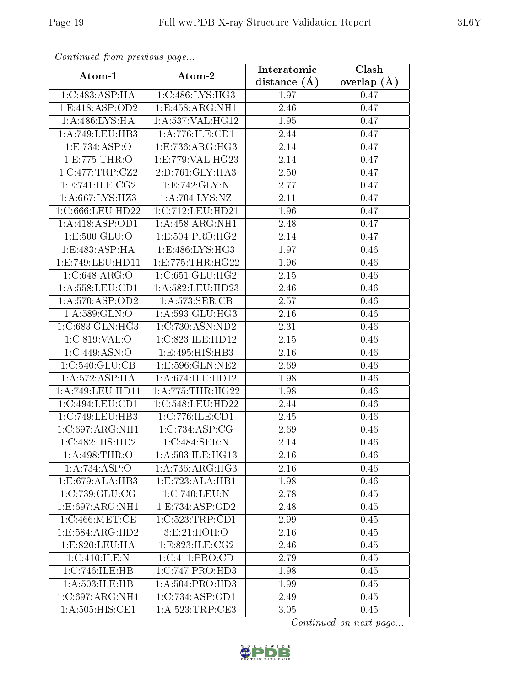| Continuea from previous page |                      | Interatomic    | Clash           |  |
|------------------------------|----------------------|----------------|-----------------|--|
| Atom-1                       | Atom-2               | distance $(A)$ | overlap $(\AA)$ |  |
| 1:C:483:ASP:HA               | 1:C:486:LYS:HG3      | 1.97           | 0.47            |  |
| 1: E: 418: ASP: OD2          | 1: E: 458: ARG: NH1  | 2.46           | 0.47            |  |
| 1:A:486:LYS:HA               | 1:A:537:VAL:HG12     | 1.95           | 0.47            |  |
| 1: A:749:LEU:HB3             | 1:A:776:ILE:CD1      | 2.44           | 0.47            |  |
| 1:E:734:ASP:O                | 1:E:736:ARG:HG3      | 2.14           | 0.47            |  |
| 1:E:775:THR:O                | 1:E:779:VAL:HG23     | 2.14           | 0.47            |  |
| 1:C:477:TRP:CZ2              | 2:D:761:GLY:HA3      | 2.50           | 0.47            |  |
| 1: E: 741: ILE: CG2          | 1:E:742:GLY:N        | 2.77           | 0.47            |  |
| 1:A:667:LYS:HZ3              | 1:A:704:LYS:NZ       | 2.11           | 0.47            |  |
| 1:C:666:LEU:HD22             | 1:C:712:LEU:HD21     | 1.96           | 0.47            |  |
| 1:A:418:ASP:OD1              | 1:A:458:ARG:NH1      | 2.48           | 0.47            |  |
| 1:E:500:GLU:O                | 1:E:504:PRO:HG2      | 2.14           | 0.47            |  |
| 1:E:483:ASP:HA               | 1:E:486:LYS:HG3      | 1.97           | 0.46            |  |
| 1:E:749:LEU:HD11             | 1: E: 775: THR: HG22 | 1.96           | 0.46            |  |
| 1:C:648:ARG:O                | 1:C:651:GLU:HG2      | 2.15           | 0.46            |  |
| 1:A:558:LEU:CD1              | 1:A:582:LEU:HD23     | 2.46           | 0.46            |  |
| 1:A:570:ASP:OD2              | 1: A: 573: SER: CB   | 2.57           | $0.46\,$        |  |
| 1: A:589: GLN:O              | 1:A:593:GLU:HG3      | 2.16           | 0.46            |  |
| 1:C:683:GLN:HG3              | 1:C:730:ASN:ND2      | 2.31           | 0.46            |  |
| 1:C:819:VAL:O                | 1:C:823:ILE:HD12     | 2.15           | 0.46            |  |
| 1:C:449:ASN:O                | 1:E:495:HIS:HB3      | 2.16           | 0.46            |  |
| $1:C:540:\overline{GLU:CB}$  | 1:E:596:GLN:NE2      | 2.69           | 0.46            |  |
| 1: A:572: ASP:HA             | 1: A:674: ILE: HD12  | 1.98           | 0.46            |  |
| 1: A:749: LEU: HD11          | 1: A: 775: THR: HG22 | 1.98           | 0.46            |  |
| 1:C:494:LEU:CD1              | 1:C:548:LEU:HD22     | 2.44           | 0.46            |  |
| 1:C:749:LEU:HB3              | 1:C:776:ILE:CD1      | 2.45           | 0.46            |  |
| 1:C:697:ARG:NH1              | 1:C:734:ASP:CG       | 2.69           | 0.46            |  |
| 1:C:482:HIS:HD2              | 1:C:484:SER:N        | 2.14           | 0.46            |  |
| 1: A:498:THR:O               | 1: A:503: ILE: HG13  | 2.16           | 0.46            |  |
| 1:A:734:ASP:O                | 1: A:736:ARG:HG3     | 2.16           | 0.46            |  |
| 1:E:679:ALA:HB3              | 1:E:723:ALA:HB1      | 1.98           | 0.46            |  |
| 1:C:739:GLU:CG               | 1:C:740:LEU:N        | 2.78           | 0.45            |  |
| 1: E:697: ARG: NH1           | 1: E: 734: ASP: OD2  | 2.48           | 0.45            |  |
| 1:C:466:MET:CE               | 1:C:523:TRP:CD1      | 2.99           | 0.45            |  |
| 1:E:584:ARG:HD2              | 3: E: 21: HOH:O      | 2.16           | 0.45            |  |
| 1: E: 820: LEU: HA           | 1:E:823:ILE:CG2      | 2.46           | 0.45            |  |
| 1:C:410:ILE:N                | 1:C:411:PRO:CD       | 2.79           | 0.45            |  |
| 1:C:746:ILE:HB               | 1:C:747:PRO:HD3      | 1.98           | 0.45            |  |
| 1:A:503:ILE:HB               | 1:A:504:PRO:HD3      | 1.99           | 0.45            |  |
| 1:C:697:ARG:NH1              | 1:C:734:ASP:OD1      | 2.49           | 0.45            |  |
| 1:A:505:HIS:CE1              | 1: A:523:TRP:CE3     | 3.05           | 0.45            |  |

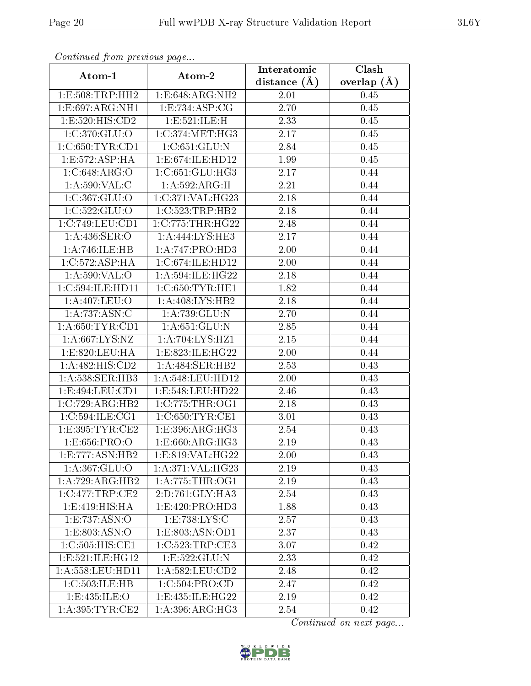| Continuea from previous page |                                                   | Interatomic    | Clash<br>overlap $(A)$ |  |
|------------------------------|---------------------------------------------------|----------------|------------------------|--|
| Atom-1                       | Atom-2                                            | distance $(A)$ |                        |  |
| 1: E: 508: TRP: HH2          | 1:E:648:ARG:NH2                                   | 2.01           | 0.45                   |  |
| 1:E:697:ARG:NH1              | 1: E: 734: ASP: CG                                | 2.70           | $0.45\,$               |  |
| 1: E: 520: HIS: CD2          | 1:E:521:ILE:H                                     | 2.33           | 0.45                   |  |
| 1:C:370:GLU:O                | 1:C:374:MET:HG3                                   | 2.17           | 0.45                   |  |
| 1:C:650:TYR:CD1              | 1:C:651:GLU:N                                     | 2.84           | 0.45                   |  |
| 1: E: 572: ASP: HA           | 1:E:674:ILE:HD12                                  | 1.99           | 0.45                   |  |
| 1:C:648:ARG:O                | 1:C:651:GLU:HG3                                   | 2.17           | 0.44                   |  |
| 1: A:590: VAL:C              | 1:A:592:ARG:H                                     | 2.21           | 0.44                   |  |
| 1:C:367:GLU:O                | 1:C:371:VAL:HG23                                  | 2.18           | 0.44                   |  |
| 1:C:522:GLU:O                | 1:C:523:TRP:HB2                                   | 2.18           | 0.44                   |  |
| 1:C:749:LEU:CD1              | 1:C:775:THR:HG22                                  | 2.48           | 0.44                   |  |
| 1: A:436: SER:O              | $1: A:444: LYS: \overline{HE3}$                   | 2.17           | 0.44                   |  |
| 1:A:746:ILE:HB               | 1:A:747:PRO:HD3                                   | 2.00           | 0.44                   |  |
| 1:C:572:ASP:HA               | 1:C:674:ILE:HD12                                  | 2.00           | 0.44                   |  |
| 1:A:590:VAL:O                | 1:A:594:ILE:HG22                                  | 2.18           | 0.44                   |  |
| 1:C:594:ILE:HD11             | 1:C:650:TYR:HE1                                   | 1.82           | 0.44                   |  |
| 1:A:407:LEU:O                | 1:A:408:LYS:HB2                                   | 2.18           | 0.44                   |  |
| 1: A:737: ASN: C             | 1:A:739:GLU:N                                     | 2.70           | 0.44                   |  |
| 1: A:650: TYR: CD1           | 1: A:651: GLU: N                                  | 2.85           | 0.44                   |  |
| 1:A:667:LYS:NZ               | 1:A:704:LYS:HZ1                                   | 2.15           | 0.44                   |  |
| 1:E:820:LEU:HA               | 1:E:823:ILE:HG22                                  | 2.00           | 0.44                   |  |
| 1:A:482:HIS:CD2              | 1:A:484:SER:HB2                                   | 2.53           | 0.43                   |  |
| 1:A:538:SER:HB3              | 1:A:548:LEU:HD12                                  | 2.00           | 0.43                   |  |
| 1:E:494:LEU:CD1              | 1:E:548:LEU:HD22                                  | 2.46           | 0.43                   |  |
| 1:C:729:ARG:HB2              | 1:C:775:THR:OG1                                   | 2.18           | 0.43                   |  |
| 1:C:594:ILE:CG1              | 1:C:650:TYR:CE1                                   | 3.01           | 0.43                   |  |
| 1:E:395:TYR:CE2              | 1: E: 396: ARG: HG3                               | 2.54           | 0.43                   |  |
| 1:E:656:PRO:O                | 1:E:660:ARG:HG3                                   | 2.19           | 0.43                   |  |
| 1: E: 777: ASN: HB2          | $1: E:819: V\overline{\mathrm{AL}:H\mathrm{G}22}$ | 2.00           | 0.43                   |  |
| 1: A: 367: GLU:O             | 1: A:371: VAL:HG23                                | 2.19           | 0.43                   |  |
| 1:A:729:ARG:HB2              | 1: A:775:THR:OG1                                  | 2.19           | 0.43                   |  |
| 1:C:477:TRP:CE2              | 2:D:761:GLY:HA3                                   | 2.54           | 0.43                   |  |
| 1: E: 419: HIS: HA           | 1:E:420:PRO:HD3                                   | 1.88           | 0.43                   |  |
| 1: E: 737: ASN:O             | 1:E:738:LYS:C                                     | 2.57           | 0.43                   |  |
| 1:E:803:ASN:O                | 1: E: 803: ASN: OD1                               | 2.37           | 0.43                   |  |
| 1:C:505:HIS:CE1              | 1:C:523:TRP:CE3                                   | 3.07           | 0.42                   |  |
| 1: E: 521: ILE: HG12         | 1:E:522:GLU:N                                     | 2.33           | 0.42                   |  |
| 1: A:558:LEU:HD11            | 1:A:582:LEU:CD2                                   | 2.48           | 0.42                   |  |
| 1:C:503:ILE:HB               | 1:C:504:PRO:CD                                    | 2.47           | 0.42                   |  |
| 1:E:435:ILE:O                | 1:E:435:ILE:HG22                                  | 2.19           | 0.42                   |  |
| 1: A:395:TYR:CE2             | 1: A:396:ARG:HG3                                  | 2.54           | 0.42                   |  |

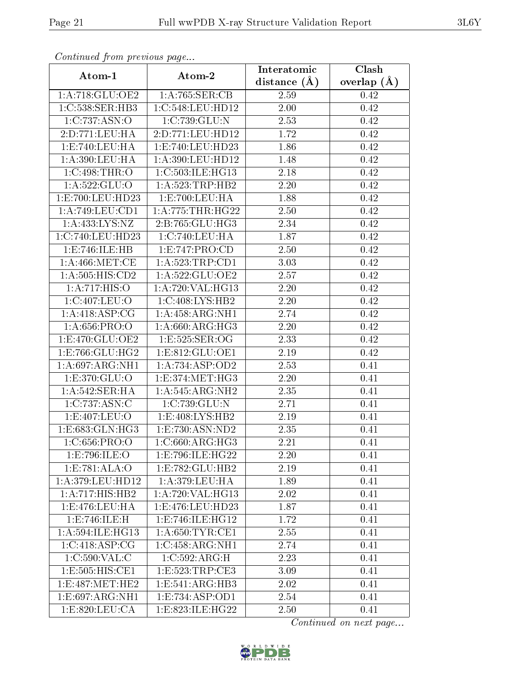| Continuea from previous page<br>Clash<br>Interatomic |                                        |                |                 |  |
|------------------------------------------------------|----------------------------------------|----------------|-----------------|--|
| Atom-1                                               | Atom-2                                 | distance $(A)$ | overlap $(\AA)$ |  |
| 1: A:718: GLU:OE2                                    | 1: A:765: SER:CB                       | 2.59           | 0.42            |  |
| 1:C:538:SER:HB3                                      | 1:C:548:LEU:HD12                       | 2.00           | 0.42            |  |
| 1:C:737:ASN:O                                        | 1:C:739:GLU:N                          | 2.53           | 0.42            |  |
| 2:D:771:LEU:HA                                       | 2:D:771:LEU:HD12                       | 1.72           | 0.42            |  |
| 1: E: 740: LEU: HA                                   | 1:E:740:LEU:HD23                       | 1.86           | 0.42            |  |
| 1:A:390:LEU:HA                                       | $1:\overline{A}:390:\text{LEU}:HD12$   | 1.48           | 0.42            |  |
| 1:C:498:THR:O                                        | 1:C:503:ILE:HG13                       | 2.18           | 0.42            |  |
| 1:A:522:GLU:O                                        | 1: A:523:TRP:HB2                       | 2.20           | 0.42            |  |
| 1:E:700:LEU:HD23                                     | 1: E: 700: LEU: HA                     | 1.88           | 0.42            |  |
| 1:A:749:LEU:CD1                                      | 1: A: 775: THR: HG22                   | 2.50           | 0.42            |  |
| 1:A:433:LYS:NZ                                       | 2:B:765:GLU:HG3                        | 2.34           | 0.42            |  |
| 1:C:740:LEU:HD23                                     | 1:C:740:LEU:HA                         | 1.87           | 0.42            |  |
| 1:E:746:ILE:HB                                       | 1: E: 747: PRO: CD                     | 2.50           | 0.42            |  |
| 1: A:466: MET:CE                                     | 1: A: 523: TRP: CD1                    | 3.03           | 0.42            |  |
| 1:A:505:HIS:CD2                                      | 1:A:522:GLU:OE2                        | 2.57           | 0.42            |  |
| 1:A:717:HIS:O                                        | 1: A:720: VAL:HG13                     | 2.20           | 0.42            |  |
| 1:C:407:LEU:O                                        | 1:C:408:LYS:HB2                        | 2.20           | 0.42            |  |
| 1: A:418: ASP:CG                                     | 1: A: 458: ARG: NH1                    | 2.74           | 0.42            |  |
| 1: A:656: PRO:O                                      | 1:A:660:ARG:HG3                        | 2.20           | 0.42            |  |
| 1: E:470: GLU:OE2                                    | 1:E:525:SER:OG                         | 2.33           | 0.42            |  |
| 1: E: 766: GLU: HG2                                  | 1:E:812:GLU:OE1                        | 2.19           | 0.42            |  |
| 1:A:697:ARG:NH1                                      | 1: A:734: ASP:OD2                      | 2.53           | 0.41            |  |
| 1:E:370:GLU:O                                        | 1:E:374:MET:HG3                        | 2.20           | 0.41            |  |
| 1:A:542:SER:HA                                       | $1:A:\overline{545:ARG:NH2}$           | 2.35           | 0.41            |  |
| 1:C:737:ASN:C                                        | 1:C:739:GLU:N                          | 2.71           | 0.41            |  |
| 1: E:407: LEU:O                                      | 1:E:408:LYS:HB2                        | 2.19           | 0.41            |  |
| 1:E:683:GLN:HG3                                      | $1: E: 730: \overline{\text{ASN:ND2}}$ | 2.35           | 0.41            |  |
| 1:C:656:PRO:O                                        | 1:C:660:ARG:HG3                        | 2.21           | 0.41            |  |
| 1:E:796:ILE:O                                        | 1:E:796:ILE:HG22                       | 2.20           | 0.41            |  |
| 1:E:781:ALA:O                                        | 1:E:782:GLU:HB2                        | 2.19           | 0.41            |  |
| 1:A:379:LEU:HD12                                     | 1: A:379:LEU:HA                        | 1.89           | 0.41            |  |
| 1: A:717: HIS: HB2                                   | 1: A:720: VAL:HG13                     | 2.02           | 0.41            |  |
| 1:E:476:LEU:HA                                       | 1:E:476:LEU:HD23                       | 1.87           | 0.41            |  |
| 1:E:746:ILE:H                                        | 1:E:746:ILE:HG12                       | 1.72           | 0.41            |  |
| 1: A:594: ILE: HG13                                  | 1: A:650: TYR: CE1                     | 2.55           | 0.41            |  |
| 1:C:418:ASP:CG                                       | 1:C:458:ARG:NH1                        | 2.74           | 0.41            |  |
| 1:C:590:VAL:CC                                       | 1:C:592:ARG:H                          | 2.23           | 0.41            |  |
| 1:E:505:HIS:CE1                                      | 1:E:523:TRP:CE3                        | 3.09           | 0.41            |  |
| 1:E:487:MET:HE2                                      | 1:E:541:ARG:HB3                        | 2.02           | 0.41            |  |
| 1:E:697:ARG:NH1                                      | 1:E:734:ASP:OD1                        | 2.54           | 0.41            |  |
| 1:E:820:LEU:CA                                       | 1:E:823:ILE:HG22                       | 2.50           | 0.41            |  |

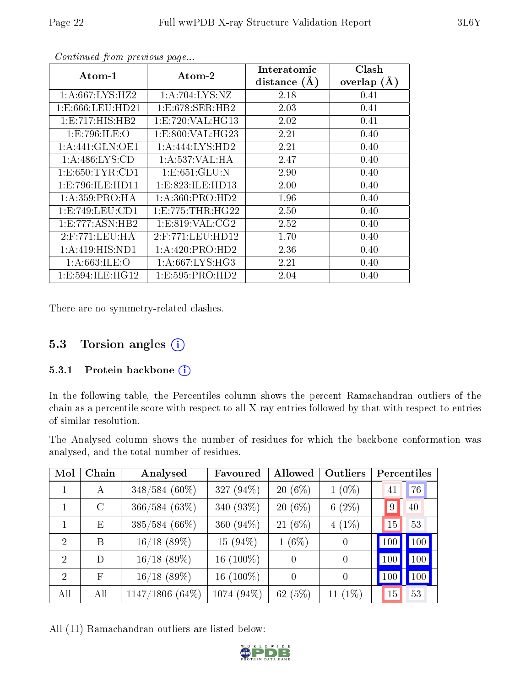|                      |                     | Interatomic    | Clash         |
|----------------------|---------------------|----------------|---------------|
| Atom-1               | Atom-2              | distance $(A)$ | overlap $(A)$ |
| 1:A:667:LYS:HZ2      | 1: A:704:LYS:NZ     | 2.18           | 0.41          |
| 1: E: 666: LEU: HD21 | 1:E:678:SER:HB2     | 2.03           | 0.41          |
| 1: E: 717: HIS: HB2  | 1:E:720:VAL:HG13    | 2.02           | 0.41          |
| 1:E:796:ILE:O        | 1:E:800:VAL:HG23    | 2.21           | 0.40          |
| 1:A:441:GLN:OE1      | 1:A:444:LYS:HD2     | 2.21           | 0.40          |
| 1: A:486: LYS:CD     | 1: A: 537: VAL: HA  | 2.47           | 0.40          |
| 1: E: 650: TYR: CD1  | 1: E: 651: GLU: N   | 2.90           | 0.40          |
| 1: E: 796: ILE: HD11 | 1:E:823:ILE:HD13    | 2.00           | 0.40          |
| 1: A:359: PRO:HA     | 1: A:360: PRO:HD2   | 1.96           | 0.40          |
| 1: E: 749: LEU: CD1  | $1:$ E:775:THR:HG22 | 2.50           | 0.40          |
| 1: E: 777: ASN: HB2  | 1: E:819: VAL: CG2  | 2.52           | 0.40          |
| $2:$ F:771:LEU:HA    | $2:$ F:771:LEU:HD12 | 1.70           | 0.40          |
| 1: A:419: HIS: ND1   | 1:A:420:PRO:HD2     | 2.36           | 0.40          |
| 1: A:663: ILE: O     | 1: A:667: LYS: HG3  | 2.21           | 0.40          |
| 1: E: 594: ILE: HG12 | 1: E: 595: PRO: HD2 | 2.04           | $0.40\,$      |

There are no symmetry-related clashes.

### 5.3 Torsion angles (i)

#### 5.3.1 Protein backbone (i)

In the following table, the Percentiles column shows the percent Ramachandran outliers of the chain as a percentile score with respect to all X-ray entries followed by that with respect to entries of similar resolution.

The Analysed column shows the number of residues for which the backbone conformation was analysed, and the total number of residues.

| Mol                         | Chain   | Analysed          | Favoured     | Allowed   | Outliers  | Percentiles        |
|-----------------------------|---------|-------------------|--------------|-----------|-----------|--------------------|
|                             | A       | 348/584 (60%)     | 327 (94%)    | $20(6\%)$ | $1(0\%)$  | 76<br>41           |
|                             | $\rm C$ | 366/584(63%)      | 340 (93%)    | $20(6\%)$ | 6(2%)     | $ 9\rangle$<br>40  |
|                             | Ε       | 385/584 (66%)     | 360 (94%)    | $21(6\%)$ | $4(1\%)$  | 53<br>15           |
| $\mathcal{D}$               | В       | $16/18$ (89%)     | 15 $(94\%)$  | $1(6\%)$  | $\theta$  | $\vert$ 100<br>100 |
| $\mathcal{D}_{\mathcal{L}}$ | D       | $16/18$ (89%)     | 16 $(100\%)$ | $\Omega$  | $\Omega$  | 100<br>100         |
| $\mathcal{D}$               | F       | $16/18$ (89%)     | 16 $(100\%)$ | $\theta$  | $\theta$  | 100<br>100         |
| All                         | All     | $1147/1806(64\%)$ | 1074 (94%)   | 62(5%)    | $11(1\%)$ | 15<br>53           |

All (11) Ramachandran outliers are listed below:

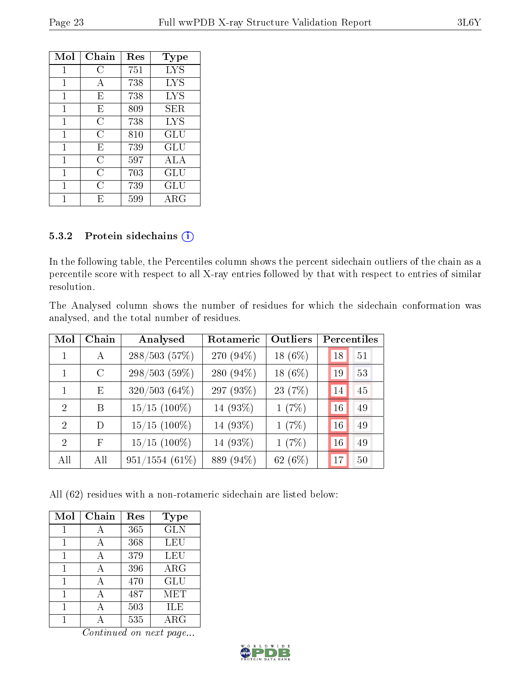| Mol | Chain          | Res | Type        |
|-----|----------------|-----|-------------|
| 1   | C              | 751 | <b>LYS</b>  |
| 1   | А              | 738 | LYS         |
| 1   | E              | 738 | <b>LYS</b>  |
| 1   | E              | 809 | SER.        |
| 1   | С              | 738 | LYS         |
| 1   | С              | 810 | GLU         |
| 1   | E              | 739 | GLU         |
| 1   | $\overline{C}$ | 597 | ALA         |
| 1   | С              | 703 | GLU         |
| 1   | С              | 739 | GLU         |
|     | F,             | 599 | ${\rm ARG}$ |

#### 5.3.2 Protein sidechains (i)

In the following table, the Percentiles column shows the percent sidechain outliers of the chain as a percentile score with respect to all X-ray entries followed by that with respect to entries of similar resolution.

The Analysed column shows the number of residues for which the sidechain conformation was analysed, and the total number of residues.

| Mol           | Chain         | Analysed         | Rotameric | Outliers   | Percentiles |    |
|---------------|---------------|------------------|-----------|------------|-------------|----|
|               | A             | 288/503(57%)     | 270 (94%) | 18 $(6%)$  | 18          | 51 |
|               | $\mathcal{C}$ | 298/503 (59%)    | 280 (94%) | 18 $(6\%)$ | 19          | 53 |
|               | E             | $320/503(64\%)$  | 297 (93%) | 23 (7%)    | 14          | 45 |
| $\mathcal{D}$ | В             | $15/15$ (100%)   | 14 (93%)  | 1(7%)      | 16          | 49 |
| $\mathcal{D}$ | D             | $15/15$ (100%)   | 14 (93%)  | 1(7%)      | 16          | 49 |
| $\mathcal{D}$ | F             | $15/15$ (100%)   | 14 (93%)  | 1(7%)      | 16          | 49 |
| All           | All           | $951/1554(61\%)$ | 889 (94%) | 62 (6%)    | 17          | 50 |

All (62) residues with a non-rotameric sidechain are listed below:

| Mol | Chain | Res | Type        |
|-----|-------|-----|-------------|
| 1   | А     | 365 | <b>GLN</b>  |
| 1   | А     | 368 | <b>LEU</b>  |
| 1   | А     | 379 | LEU         |
| 1   |       | 396 | ARG         |
| 1   | А     | 470 | GLU         |
|     |       | 487 | MET         |
|     |       | 503 | ILE         |
|     |       | 535 | ${\rm ARG}$ |

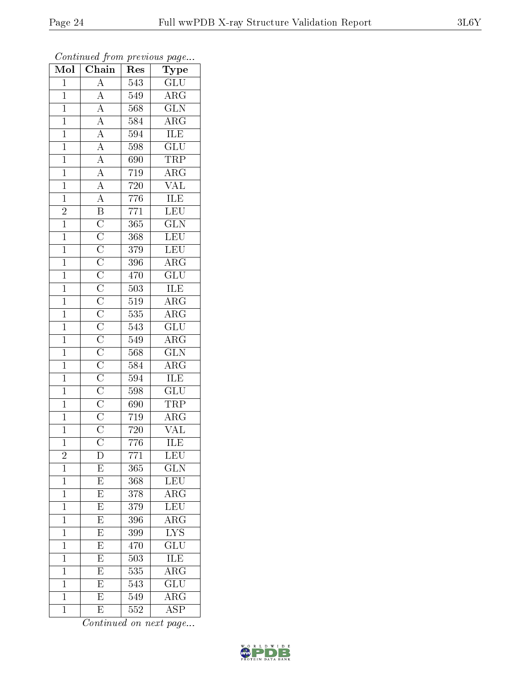| Mol            | $\sim$ 0 $\sim$ 0.000 $\sim$ 0.000 $\sim$ 0.000 $\sim$<br>$\overline{\text{Chain}}$ | Res              | $\sim r$ and $\sim r$<br>Type |
|----------------|-------------------------------------------------------------------------------------|------------------|-------------------------------|
| $\mathbf{1}$   | $\overline{A}$                                                                      | 543              | $\overline{{\rm GLU}}$        |
| $\mathbf{1}$   |                                                                                     | 549              | $\rm{ARG}$                    |
| $\mathbf{1}$   |                                                                                     | 568              | $\overline{\text{GLN}}$       |
| $\overline{1}$ |                                                                                     | 584              | $A\overline{RG}$              |
| $\overline{1}$ |                                                                                     | 594              | $\overline{\text{ILE}}$       |
| $\mathbf{1}$   |                                                                                     | 598              | $\overline{\text{GLU}}$       |
| $\mathbf{1}$   |                                                                                     | 690              | $\overline{\text{TRP}}$       |
| $\overline{1}$ |                                                                                     | 719              | $\overline{\text{ARG}}$       |
| $\overline{1}$ |                                                                                     | $720\,$          | $\overline{\text{VAL}}$       |
| $\overline{1}$ |                                                                                     | $\overline{776}$ | ILE                           |
| $\overline{c}$ |                                                                                     | $771\,$          | LEU                           |
| $\overline{1}$ |                                                                                     | $\overline{365}$ | $\overline{\text{GLN}}$       |
| $\mathbf{1}$   |                                                                                     | 368              | LEU                           |
| $\overline{1}$ |                                                                                     | 379              | LEU                           |
| $\mathbf{1}$   |                                                                                     | 396              | $\overline{\rm ARG}$          |
| $\mathbf{1}$   |                                                                                     | 470              | $\overline{\text{GLU}}$       |
| $\overline{1}$ |                                                                                     | 503              | <b>ILE</b>                    |
| $\mathbf{1}$   |                                                                                     | 519              | $\overline{\rm{ARG}}$         |
| $\overline{1}$ |                                                                                     | 535              | $\overline{\rm{ARG}}$         |
| $\mathbf{1}$   |                                                                                     | 543              | $\overline{\text{GLU}}$       |
| $\mathbf{1}$   |                                                                                     | 549              | $\rm{ARG}$                    |
| $\mathbf{1}$   |                                                                                     | 568              | $\overline{\text{GLN}}$       |
| $\overline{1}$ |                                                                                     | 584              | $\overline{\rm{ARG}}$         |
| $\overline{1}$ |                                                                                     | 594              | <b>ILE</b>                    |
| $\overline{1}$ |                                                                                     | 598              | $\overline{\text{GLU}}$       |
| $\mathbf{1}$   |                                                                                     | $\overline{690}$ | <b>TRP</b>                    |
| $\overline{1}$ |                                                                                     | 719              | $\overline{\rm{ARG}}$         |
| $\overline{1}$ |                                                                                     | 720              | <b>VAL</b>                    |
| $\overline{1}$ |                                                                                     | 776              | $\overline{\text{ILE}}$       |
| $\frac{2}{1}$  | $\mathbb{D}$                                                                        | 771              | $LE\overline{U}$              |
|                | $\overline{E}$                                                                      | 365              | $\overline{{\rm GLN}}$        |
| $\mathbf{1}$   | $\overline{E}$                                                                      | 368              | $\overline{\text{LEU}}$       |
| $\overline{1}$ | $\overline{E}$                                                                      | 378              | $\overline{\rm{ARG}}$         |
| $\mathbf{1}$   | $\overline{\mathrm{E}}$                                                             | 379              | LEU                           |
| $\mathbf{1}$   | $\overline{\mathrm{E}}$                                                             | 396              | $\overline{\rm{ARG}}$         |
| $\mathbf{1}$   | $\overline{E}$                                                                      | 399              | $\overline{\text{LYS}}$       |
| $\mathbf{1}$   | $\overline{E}$                                                                      | 470              | $\overline{{\rm GLU}}$        |
| $\mathbf{1}$   | $\overline{E}$                                                                      | 503              | <b>ILE</b>                    |
| $\mathbf{1}$   | $\overline{E}$                                                                      | 535              | $\overline{\rm{ARG}}$         |
| $\mathbf{1}$   | $\overline{\mathrm{E}}$                                                             | 543              | $\overline{{\rm GLU}}$        |
| $\mathbf 1$    | $\overline{\mathrm{E}}$                                                             | 549              | $\overline{\rm{ARG}}$         |
| $\mathbf{1}$   | E                                                                                   | 552              | $\overline{\text{ASP}}$       |

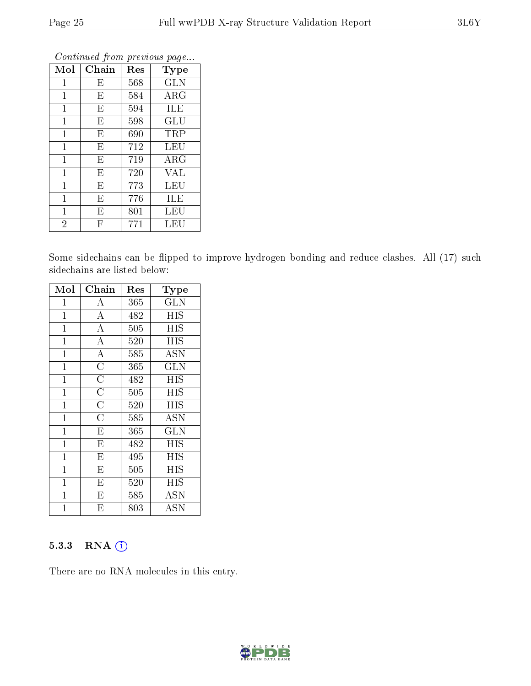| Mol            | Chain                   | Res | Type       |
|----------------|-------------------------|-----|------------|
| 1              | Ε                       | 568 | <b>GLN</b> |
| $\mathbf 1$    | $E_{\parallel}$         | 584 | $\rm{ARG}$ |
| $\mathbf{1}$   | E                       | 594 | ILE        |
| $\mathbf{1}$   | E                       | 598 | GLU        |
| $\mathbf{1}$   | E                       | 690 | TRP        |
| 1              | E                       | 712 | LEU        |
| $\mathbf{1}$   | E                       | 719 | $\rm{ARG}$ |
| $\overline{1}$ | E                       | 720 | <b>VAL</b> |
| $\overline{1}$ | E                       | 773 | LEU        |
| $\mathbf{1}$   | E                       | 776 | ILE        |
| $\mathbf{1}$   | E                       | 801 | LEU        |
| $\overline{2}$ | $\overline{\mathrm{F}}$ | 771 | LEU        |

Some sidechains can be flipped to improve hydrogen bonding and reduce clashes. All (17) such sidechains are listed below:

| Mol          | Chain                   | Res | Type                    |
|--------------|-------------------------|-----|-------------------------|
| $\mathbf 1$  | $\boldsymbol{A}$        | 365 | <b>GLN</b>              |
| $\mathbf 1$  | $\overline{A}$          | 482 | <b>HIS</b>              |
| 1            | $\overline{A}$          | 505 | <b>HIS</b>              |
| $\mathbf 1$  | $\overline{\rm A}$      | 520 | ΗIS                     |
| $\mathbf 1$  | $\overline{A}$          | 585 | <b>ASN</b>              |
| $\mathbf{1}$ | $\overline{\text{C}}$   | 365 | <b>GLN</b>              |
| $\mathbf{1}$ | $\overline{C}$          | 482 | HIS                     |
| $\mathbf{1}$ | $\overline{\rm C}$      | 505 | <b>HIS</b>              |
| $\mathbf{1}$ | $\overline{\rm C}$      | 520 | HIS                     |
| $\mathbf{1}$ | $\overline{C}$          | 585 | <b>ASN</b>              |
| $\mathbf{1}$ | $\overline{\mathrm{E}}$ | 365 | $\overline{\text{GLN}}$ |
| $\mathbf{1}$ | $\overline{\mathrm{E}}$ | 482 | <b>HIS</b>              |
| $\mathbf{1}$ | $\overline{\mathrm{E}}$ | 495 | HIS                     |
| $\mathbf 1$  | $\overline{\mathrm{E}}$ | 505 | <b>HIS</b>              |
| 1            | $\overline{\mathrm{E}}$ | 520 | ΗIS                     |
| 1            | E                       | 585 | ASN                     |
| 1            | Ε                       | 803 | ASN                     |

#### 5.3.3 RNA (1)

There are no RNA molecules in this entry.

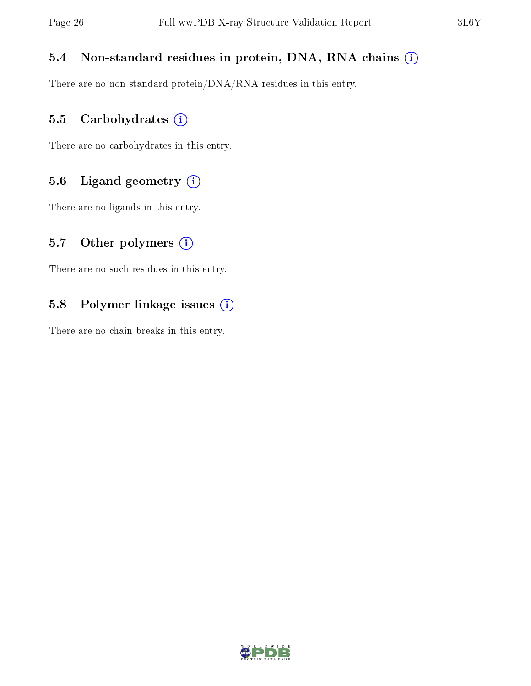#### 5.4 Non-standard residues in protein, DNA, RNA chains (i)

There are no non-standard protein/DNA/RNA residues in this entry.

#### 5.5 Carbohydrates (i)

There are no carbohydrates in this entry.

#### 5.6 Ligand geometry (i)

There are no ligands in this entry.

#### 5.7 [O](https://www.wwpdb.org/validation/2017/XrayValidationReportHelp#nonstandard_residues_and_ligands)ther polymers  $(i)$

There are no such residues in this entry.

#### 5.8 Polymer linkage issues (i)

There are no chain breaks in this entry.

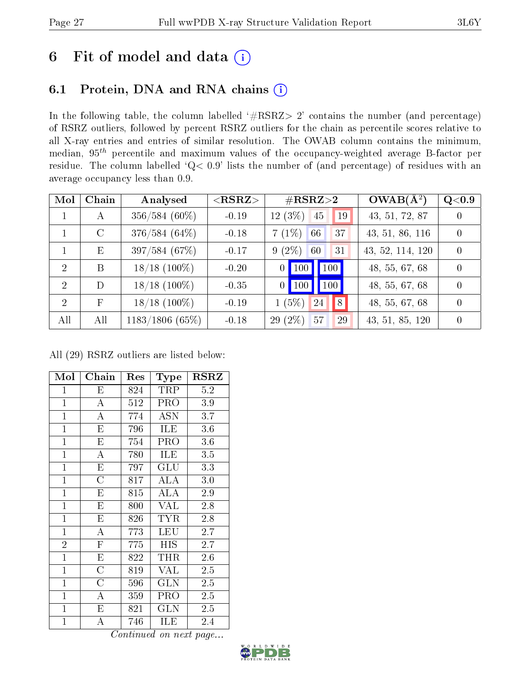## 6 Fit of model and data  $(i)$

### 6.1 Protein, DNA and RNA chains  $(i)$

In the following table, the column labelled  $#RSRZ> 2'$  contains the number (and percentage) of RSRZ outliers, followed by percent RSRZ outliers for the chain as percentile scores relative to all X-ray entries and entries of similar resolution. The OWAB column contains the minimum, median,  $95<sup>th</sup>$  percentile and maximum values of the occupancy-weighted average B-factor per residue. The column labelled ' $Q< 0.9$ ' lists the number of (and percentage) of residues with an average occupancy less than 0.9.

| Mol            | Chain         | Analysed          | ${ <\hspace{-1.5pt}{\mathrm{RSRZ}} \hspace{-1.5pt}>}$ | $\#\text{RSRZ}{>}2$                                          | $OWAB(A^2)$      | Q <sub>0.9</sub> |
|----------------|---------------|-------------------|-------------------------------------------------------|--------------------------------------------------------------|------------------|------------------|
|                | А             | $356/584(60\%)$   | $-0.19$                                               | $12(3\%)$<br>45<br>19                                        | 43, 51, 72, 87   |                  |
|                | $\mathcal{C}$ | $376/584(64\%)$   | $-0.18$                                               | $7(1\%)$<br>66<br>37                                         | 43, 51, 86, 116  | $\Omega$         |
|                | Ε             | 397/584 (67%)     | $-0.17$                                               | $9(2\%)$<br>31<br>60                                         | 43, 52, 114, 120 |                  |
| 2              | B             | $18/18$ (100%)    | $-0.20$                                               | $\vert$ 100 $\vert$<br>$\vert$ 100 $\vert$<br>$\overline{0}$ | 48, 55, 67, 68   |                  |
| 2              | D             | $18/18$ (100\%)   | $-0.35$                                               | 100<br>$0$   100                                             | 48, 55, 67, 68   | $\Omega$         |
| $\overline{2}$ | $\mathbf{F}$  | $18/18$ (100\%)   | $-0.19$                                               | 8<br>$1(5\%)$<br>24                                          | 48, 55, 67, 68   |                  |
| All            | All           | $1183/1806$ (65%) | $-0.18$                                               | $29(2\%)$<br>57<br>29                                        | 43, 51, 85, 120  |                  |

All (29) RSRZ outliers are listed below:

| Mol            | Chain                   | Res | Type         | <b>RSRZ</b> |
|----------------|-------------------------|-----|--------------|-------------|
| $\overline{1}$ | Ε                       | 824 | TRP          | 5.2         |
| $\mathbf{1}$   | A                       | 512 | PRO          | 3.9         |
| $\mathbf{1}$   | $\overline{\rm A}$      | 774 | <b>ASN</b>   | 3.7         |
| $\mathbf{1}$   | $\overline{\mathrm{E}}$ | 796 | ILE          | 3.6         |
| $\mathbf{1}$   | E                       | 754 | PRO          | 3.6         |
| $\overline{1}$ | $\mathbf{A}$            | 780 | <b>ILE</b>   | 3.5         |
| $\mathbf{1}$   | $\overline{\mathrm{E}}$ | 797 | GLU          | 3.3         |
| $\mathbf{1}$   | $\overline{C}$          | 817 | ALA          | 3.0         |
| $\mathbf{1}$   | E                       | 815 | ALA          | 2.9         |
| $\mathbf{1}$   | E                       | 800 | <b>VAL</b>   | 2.8         |
| $\mathbf{1}$   | E                       | 826 | <b>TYR</b>   | 2.8         |
| $\overline{1}$ | $\overline{\rm A}$      | 773 | LEU          | 2.7         |
| $\overline{2}$ | $\overline{\mathrm{F}}$ | 775 | HIS          | 2.7         |
| $\overline{1}$ | ${\rm E}$               | 822 | THR          | 2.6         |
| $\mathbf{1}$   | $\overline{\rm C}$      | 819 | <b>VAL</b>   | 2.5         |
| $\mathbf{1}$   | $\overline{\rm C}$      | 596 | <b>GLN</b>   | 2.5         |
| $\mathbf{1}$   | А                       | 359 | PRO          | 2.5         |
| $\mathbf{1}$   | E                       | 821 | $_{\rm GLN}$ | 2.5         |
| $\mathbf{1}$   | А                       | 746 | ILE          | 2.4         |